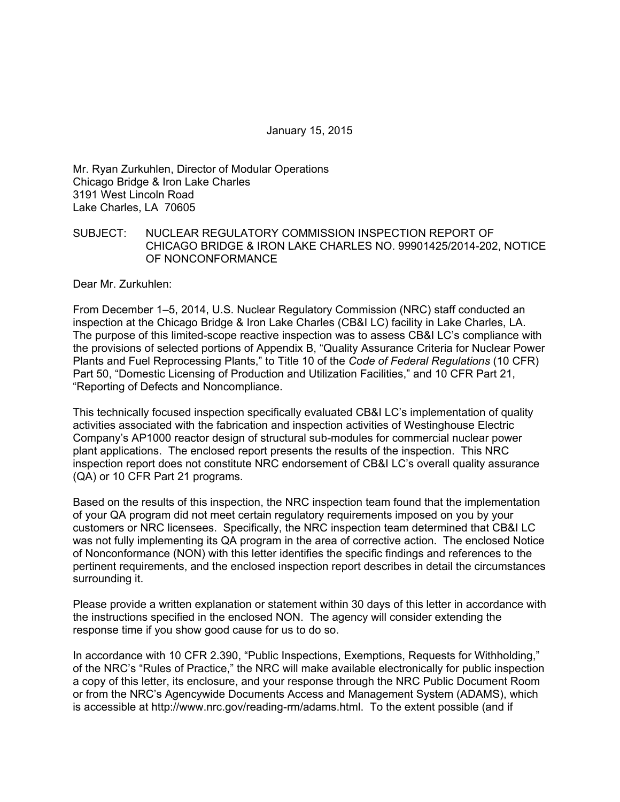January 15, 2015

Mr. Ryan Zurkuhlen, Director of Modular Operations Chicago Bridge & Iron Lake Charles 3191 West Lincoln Road Lake Charles, LA 70605

#### SUBJECT: NUCLEAR REGULATORY COMMISSION INSPECTION REPORT OF CHICAGO BRIDGE & IRON LAKE CHARLES NO. 99901425/2014-202, NOTICE OF NONCONFORMANCE

Dear Mr. Zurkuhlen:

From December 1–5, 2014, U.S. Nuclear Regulatory Commission (NRC) staff conducted an inspection at the Chicago Bridge & Iron Lake Charles (CB&I LC) facility in Lake Charles, LA. The purpose of this limited-scope reactive inspection was to assess CB&I LC's compliance with the provisions of selected portions of Appendix B, "Quality Assurance Criteria for Nuclear Power Plants and Fuel Reprocessing Plants," to Title 10 of the *Code of Federal Regulations* (10 CFR) Part 50, "Domestic Licensing of Production and Utilization Facilities," and 10 CFR Part 21, "Reporting of Defects and Noncompliance.

This technically focused inspection specifically evaluated CB&I LC's implementation of quality activities associated with the fabrication and inspection activities of Westinghouse Electric Company's AP1000 reactor design of structural sub-modules for commercial nuclear power plant applications. The enclosed report presents the results of the inspection. This NRC inspection report does not constitute NRC endorsement of CB&I LC's overall quality assurance (QA) or 10 CFR Part 21 programs.

Based on the results of this inspection, the NRC inspection team found that the implementation of your QA program did not meet certain regulatory requirements imposed on you by your customers or NRC licensees. Specifically, the NRC inspection team determined that CB&I LC was not fully implementing its QA program in the area of corrective action. The enclosed Notice of Nonconformance (NON) with this letter identifies the specific findings and references to the pertinent requirements, and the enclosed inspection report describes in detail the circumstances surrounding it.

Please provide a written explanation or statement within 30 days of this letter in accordance with the instructions specified in the enclosed NON. The agency will consider extending the response time if you show good cause for us to do so.

In accordance with 10 CFR 2.390, "Public Inspections, Exemptions, Requests for Withholding," of the NRC's "Rules of Practice," the NRC will make available electronically for public inspection a copy of this letter, its enclosure, and your response through the NRC Public Document Room or from the NRC's Agencywide Documents Access and Management System (ADAMS), which is accessible at http://www.nrc.gov/reading-rm/adams.html. To the extent possible (and if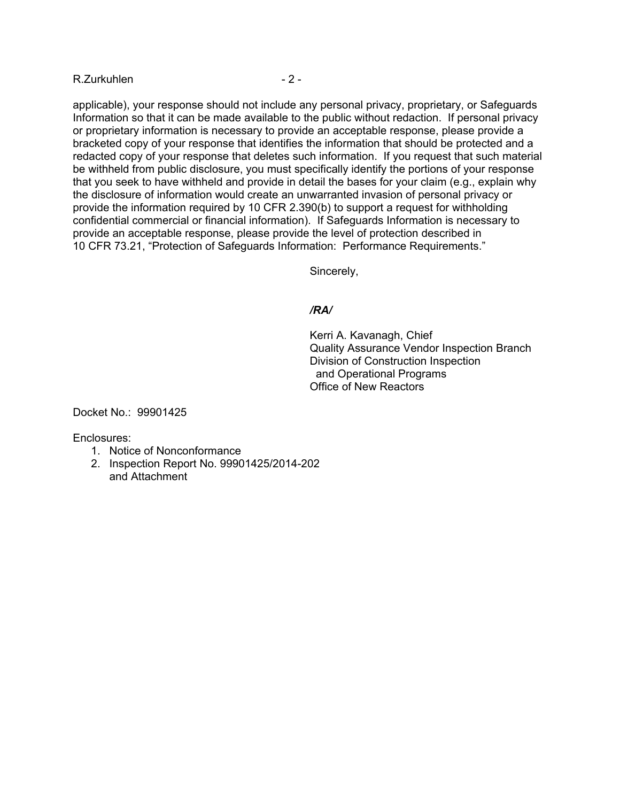#### R.Zurkuhlen - 2 -

applicable), your response should not include any personal privacy, proprietary, or Safeguards Information so that it can be made available to the public without redaction. If personal privacy or proprietary information is necessary to provide an acceptable response, please provide a bracketed copy of your response that identifies the information that should be protected and a redacted copy of your response that deletes such information. If you request that such material be withheld from public disclosure, you must specifically identify the portions of your response that you seek to have withheld and provide in detail the bases for your claim (e.g., explain why the disclosure of information would create an unwarranted invasion of personal privacy or provide the information required by 10 CFR 2.390(b) to support a request for withholding confidential commercial or financial information). If Safeguards Information is necessary to provide an acceptable response, please provide the level of protection described in 10 CFR 73.21, "Protection of Safeguards Information: Performance Requirements."

Sincerely,

#### */RA/*

Kerri A. Kavanagh, Chief Quality Assurance Vendor Inspection Branch Division of Construction Inspection and Operational Programs Office of New Reactors

Docket No.: 99901425

Enclosures:

- 1. Notice of Nonconformance
- 2. Inspection Report No. 99901425/2014-202 and Attachment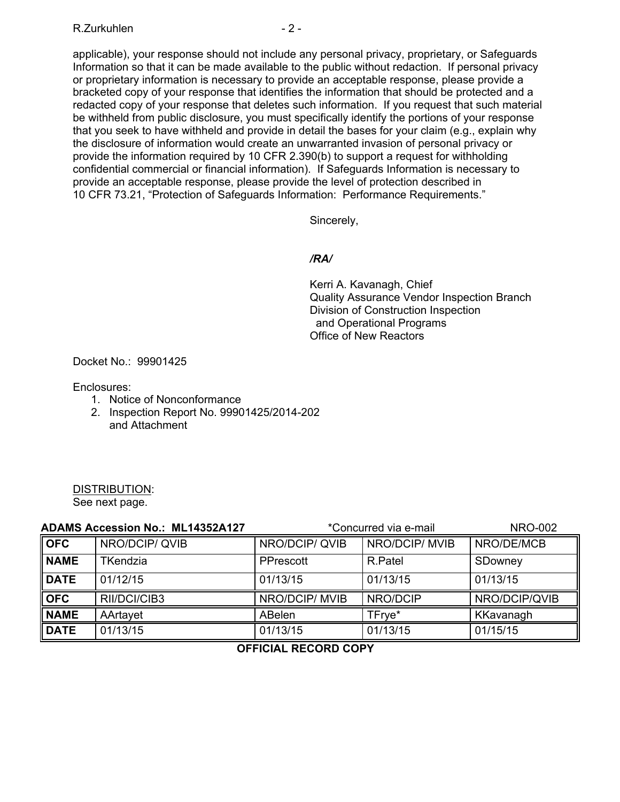## R.Zurkuhlen - 2 -

applicable), your response should not include any personal privacy, proprietary, or Safeguards Information so that it can be made available to the public without redaction. If personal privacy or proprietary information is necessary to provide an acceptable response, please provide a bracketed copy of your response that identifies the information that should be protected and a redacted copy of your response that deletes such information. If you request that such material be withheld from public disclosure, you must specifically identify the portions of your response that you seek to have withheld and provide in detail the bases for your claim (e.g., explain why the disclosure of information would create an unwarranted invasion of personal privacy or provide the information required by 10 CFR 2.390(b) to support a request for withholding confidential commercial or financial information). If Safeguards Information is necessary to provide an acceptable response, please provide the level of protection described in 10 CFR 73.21, "Protection of Safeguards Information: Performance Requirements."

Sincerely,

## */RA/*

Kerri A. Kavanagh, Chief Quality Assurance Vendor Inspection Branch Division of Construction Inspection and Operational Programs Office of New Reactors

Docket No.: 99901425

Enclosures:

- 1. Notice of Nonconformance
- 2. Inspection Report No. 99901425/2014-202 and Attachment

# DISTRIBUTION:

See next page.

| <b>ADAMS Accession No.: ML14352A127</b> |                 | *Concurred via e-mail |                | <b>NRO-002</b> |
|-----------------------------------------|-----------------|-----------------------|----------------|----------------|
| <b>OFC</b>                              | NRO/DCIP/QVIB   | NRO/DCIP/QVIB         | NRO/DCIP/ MVIB | NRO/DE/MCB     |
| <b>NAME</b>                             | <b>TKendzia</b> | PPrescott             | R.Patel        | SDowney        |
| <b>DATE</b>                             | 01/12/15        | 01/13/15              | 01/13/15       | 01/13/15       |
| <b>OFC</b>                              | RII/DCI/CIB3    | NRO/DCIP/ MVIB        | NRO/DCIP       | NRO/DCIP/QVIB  |
| <b>NAME</b>                             | AArtavet        | ABelen                | TFrye*         | KKavanagh      |
| <b>DATE</b>                             | 01/13/15        | 01/13/15              | 01/13/15       | 01/15/15       |

**OFFICIAL RECORD COPY**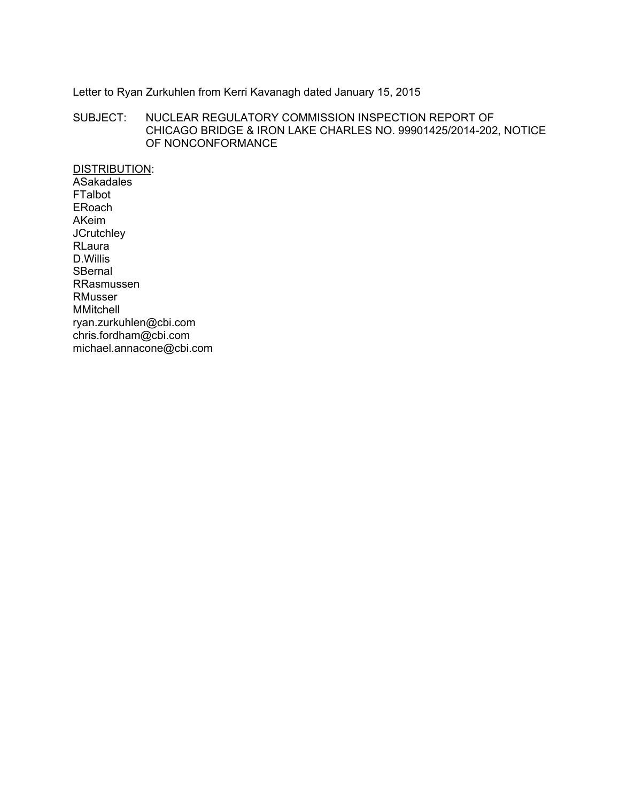# Letter to Ryan Zurkuhlen from Kerri Kavanagh dated January 15, 2015

SUBJECT: NUCLEAR REGULATORY COMMISSION INSPECTION REPORT OF CHICAGO BRIDGE & IRON LAKE CHARLES NO. 99901425/2014-202, NOTICE OF NONCONFORMANCE

DISTRIBUTION: **ASakadales** FTalbot ERoach AKeim **JCrutchley** RLaura D.Willis **SBernal** RRasmussen RMusser MMitchell ryan.zurkuhlen@cbi.com chris.fordham@cbi.com michael.annacone@cbi.com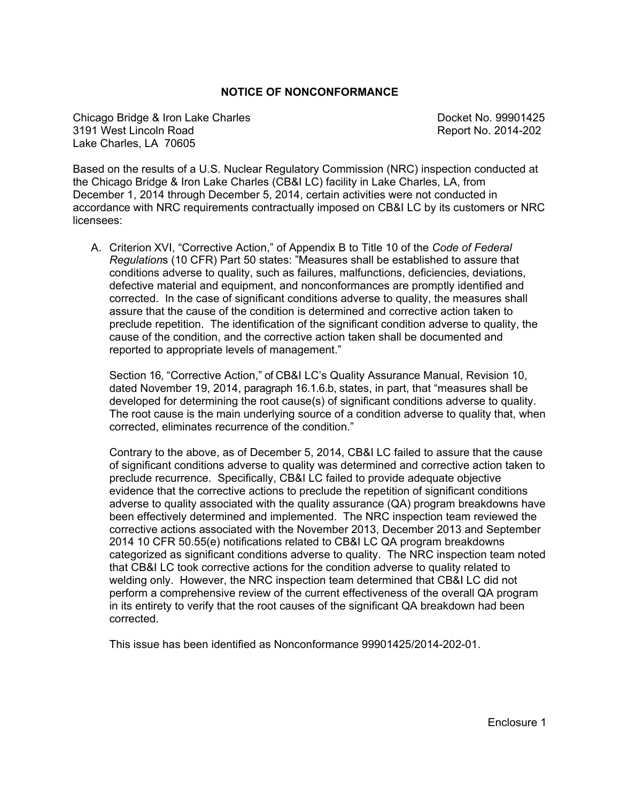#### **NOTICE OF NONCONFORMANCE**

Chicago Bridge & Iron Lake Charles Charles Docket No. 99901425 3191 West Lincoln Road Report No. 2014-202 Lake Charles, LA 70605

Based on the results of a U.S. Nuclear Regulatory Commission (NRC) inspection conducted at the Chicago Bridge & Iron Lake Charles (CB&I LC) facility in Lake Charles, LA, from December 1, 2014 through December 5, 2014, certain activities were not conducted in accordance with NRC requirements contractually imposed on CB&I LC by its customers or NRC licensees:

A. Criterion XVI, "Corrective Action," of Appendix B to Title 10 of the *Code of Federal Regulation*s (10 CFR) Part 50 states: "Measures shall be established to assure that conditions adverse to quality, such as failures, malfunctions, deficiencies, deviations, defective material and equipment, and nonconformances are promptly identified and corrected. In the case of significant conditions adverse to quality, the measures shall assure that the cause of the condition is determined and corrective action taken to preclude repetition. The identification of the significant condition adverse to quality, the cause of the condition, and the corrective action taken shall be documented and reported to appropriate levels of management."

Section 16, "Corrective Action," of CB&I LC's Quality Assurance Manual, Revision 10, dated November 19, 2014, paragraph 16.1.6.b, states, in part, that "measures shall be developed for determining the root cause(s) of significant conditions adverse to quality. The root cause is the main underlying source of a condition adverse to quality that, when corrected, eliminates recurrence of the condition."

Contrary to the above, as of December 5, 2014, CB&I LC failed to assure that the cause of significant conditions adverse to quality was determined and corrective action taken to preclude recurrence. Specifically, CB&I LC failed to provide adequate objective evidence that the corrective actions to preclude the repetition of significant conditions adverse to quality associated with the quality assurance (QA) program breakdowns have been effectively determined and implemented. The NRC inspection team reviewed the corrective actions associated with the November 2013, December 2013 and September 2014 10 CFR 50.55(e) notifications related to CB&I LC QA program breakdowns categorized as significant conditions adverse to quality. The NRC inspection team noted that CB&I LC took corrective actions for the condition adverse to quality related to welding only. However, the NRC inspection team determined that CB&I LC did not perform a comprehensive review of the current effectiveness of the overall QA program in its entirety to verify that the root causes of the significant QA breakdown had been corrected.

This issue has been identified as Nonconformance 99901425/2014-202-01.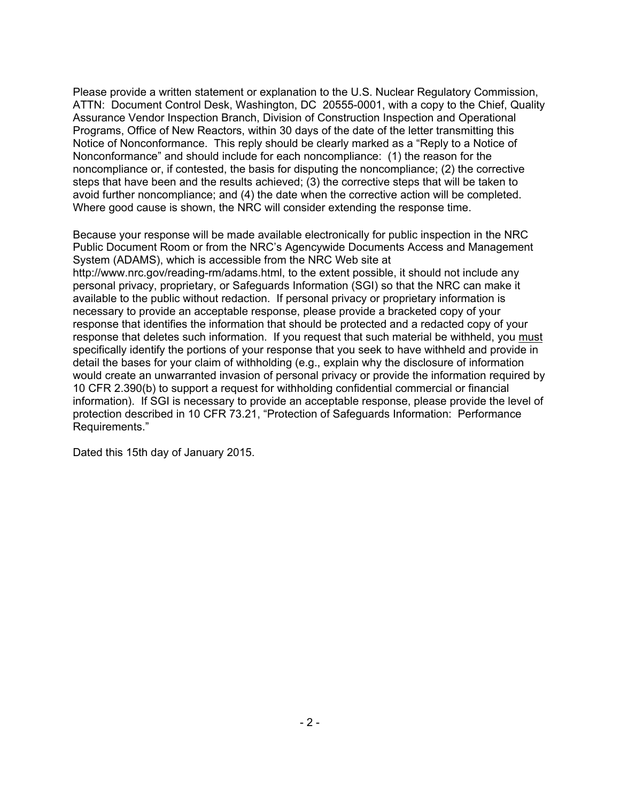Please provide a written statement or explanation to the U.S. Nuclear Regulatory Commission, ATTN: Document Control Desk, Washington, DC 20555-0001, with a copy to the Chief, Quality Assurance Vendor Inspection Branch, Division of Construction Inspection and Operational Programs, Office of New Reactors, within 30 days of the date of the letter transmitting this Notice of Nonconformance. This reply should be clearly marked as a "Reply to a Notice of Nonconformance" and should include for each noncompliance: (1) the reason for the noncompliance or, if contested, the basis for disputing the noncompliance; (2) the corrective steps that have been and the results achieved; (3) the corrective steps that will be taken to avoid further noncompliance; and (4) the date when the corrective action will be completed. Where good cause is shown, the NRC will consider extending the response time.

Because your response will be made available electronically for public inspection in the NRC Public Document Room or from the NRC's Agencywide Documents Access and Management System (ADAMS), which is accessible from the NRC Web site at http://www.nrc.gov/reading-rm/adams.html, to the extent possible, it should not include any personal privacy, proprietary, or Safeguards Information (SGI) so that the NRC can make it available to the public without redaction. If personal privacy or proprietary information is necessary to provide an acceptable response, please provide a bracketed copy of your response that identifies the information that should be protected and a redacted copy of your response that deletes such information. If you request that such material be withheld, you must specifically identify the portions of your response that you seek to have withheld and provide in detail the bases for your claim of withholding (e.g., explain why the disclosure of information would create an unwarranted invasion of personal privacy or provide the information required by 10 CFR 2.390(b) to support a request for withholding confidential commercial or financial information). If SGI is necessary to provide an acceptable response, please provide the level of protection described in 10 CFR 73.21, "Protection of Safeguards Information: Performance Requirements."

Dated this 15th day of January 2015.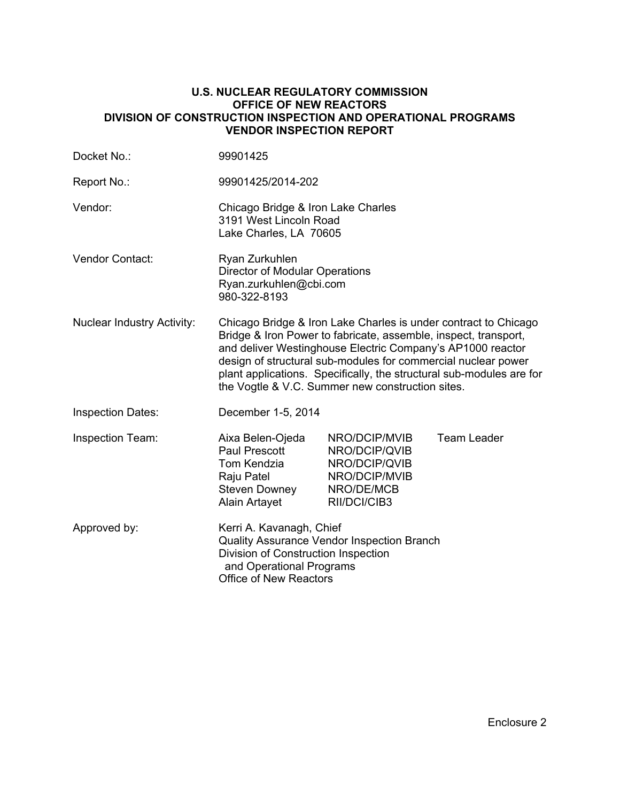#### **U.S. NUCLEAR REGULATORY COMMISSION OFFICE OF NEW REACTORS DIVISION OF CONSTRUCTION INSPECTION AND OPERATIONAL PROGRAMS VENDOR INSPECTION REPORT**

| Docket No.:                       | 99901425                                                                                                                                                                                                                                                                                                                                                                                      |                                                                                                |                    |
|-----------------------------------|-----------------------------------------------------------------------------------------------------------------------------------------------------------------------------------------------------------------------------------------------------------------------------------------------------------------------------------------------------------------------------------------------|------------------------------------------------------------------------------------------------|--------------------|
| Report No.:                       | 99901425/2014-202                                                                                                                                                                                                                                                                                                                                                                             |                                                                                                |                    |
| Vendor:                           | Chicago Bridge & Iron Lake Charles<br>3191 West Lincoln Road<br>Lake Charles, LA 70605                                                                                                                                                                                                                                                                                                        |                                                                                                |                    |
| <b>Vendor Contact:</b>            | Ryan Zurkuhlen<br><b>Director of Modular Operations</b><br>Ryan.zurkuhlen@cbi.com<br>980-322-8193                                                                                                                                                                                                                                                                                             |                                                                                                |                    |
| <b>Nuclear Industry Activity:</b> | Chicago Bridge & Iron Lake Charles is under contract to Chicago<br>Bridge & Iron Power to fabricate, assemble, inspect, transport,<br>and deliver Westinghouse Electric Company's AP1000 reactor<br>design of structural sub-modules for commercial nuclear power<br>plant applications. Specifically, the structural sub-modules are for<br>the Vogtle & V.C. Summer new construction sites. |                                                                                                |                    |
| <b>Inspection Dates:</b>          | December 1-5, 2014                                                                                                                                                                                                                                                                                                                                                                            |                                                                                                |                    |
| <b>Inspection Team:</b>           | Aixa Belen-Ojeda<br>Paul Prescott<br>Tom Kendzia<br>Raju Patel<br><b>Steven Downey</b><br>Alain Artayet                                                                                                                                                                                                                                                                                       | NRO/DCIP/MVIB<br>NRO/DCIP/QVIB<br>NRO/DCIP/QVIB<br>NRO/DCIP/MVIB<br>NRO/DE/MCB<br>RII/DCI/CIB3 | <b>Team Leader</b> |
| Approved by:                      | Kerri A. Kavanagh, Chief<br>Quality Assurance Vendor Inspection Branch<br>Division of Construction Inspection<br>and Operational Programs<br><b>Office of New Reactors</b>                                                                                                                                                                                                                    |                                                                                                |                    |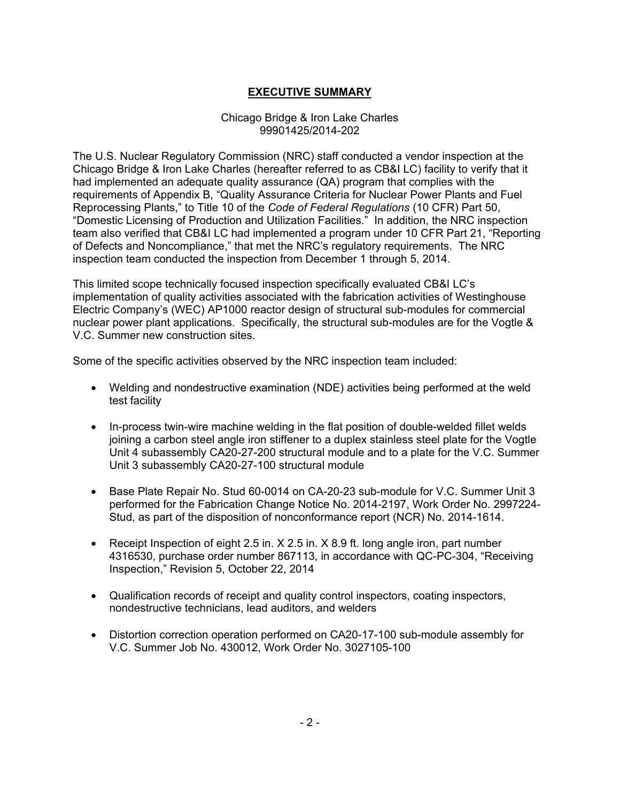# **EXECUTIVE SUMMARY**

#### Chicago Bridge & Iron Lake Charles 99901425/2014-202

The U.S. Nuclear Regulatory Commission (NRC) staff conducted a vendor inspection at the Chicago Bridge & Iron Lake Charles (hereafter referred to as CB&I LC) facility to verify that it had implemented an adequate quality assurance (QA) program that complies with the requirements of Appendix B, "Quality Assurance Criteria for Nuclear Power Plants and Fuel Reprocessing Plants," to Title 10 of the *Code of Federal Regulations* (10 CFR) Part 50, "Domestic Licensing of Production and Utilization Facilities." In addition, the NRC inspection team also verified that CB&I LC had implemented a program under 10 CFR Part 21, "Reporting of Defects and Noncompliance," that met the NRC's regulatory requirements. The NRC inspection team conducted the inspection from December 1 through 5, 2014.

This limited scope technically focused inspection specifically evaluated CB&I LC's implementation of quality activities associated with the fabrication activities of Westinghouse Electric Company's (WEC) AP1000 reactor design of structural sub-modules for commercial nuclear power plant applications. Specifically, the structural sub-modules are for the Vogtle & V.C. Summer new construction sites.

Some of the specific activities observed by the NRC inspection team included:

- Welding and nondestructive examination (NDE) activities being performed at the weld test facility
- In-process twin-wire machine welding in the flat position of double-welded fillet welds joining a carbon steel angle iron stiffener to a duplex stainless steel plate for the Vogtle Unit 4 subassembly CA20-27-200 structural module and to a plate for the V.C. Summer Unit 3 subassembly CA20-27-100 structural module
- Base Plate Repair No. Stud 60-0014 on CA-20-23 sub-module for V.C. Summer Unit 3 performed for the Fabrication Change Notice No. 2014-2197, Work Order No. 2997224- Stud, as part of the disposition of nonconformance report (NCR) No. 2014-1614.
- Receipt Inspection of eight 2.5 in. X 2.5 in. X 8.9 ft. long angle iron, part number 4316530, purchase order number 867113, in accordance with QC-PC-304, "Receiving Inspection," Revision 5, October 22, 2014
- Qualification records of receipt and quality control inspectors, coating inspectors, nondestructive technicians, lead auditors, and welders
- Distortion correction operation performed on CA20-17-100 sub-module assembly for V.C. Summer Job No. 430012, Work Order No. 3027105-100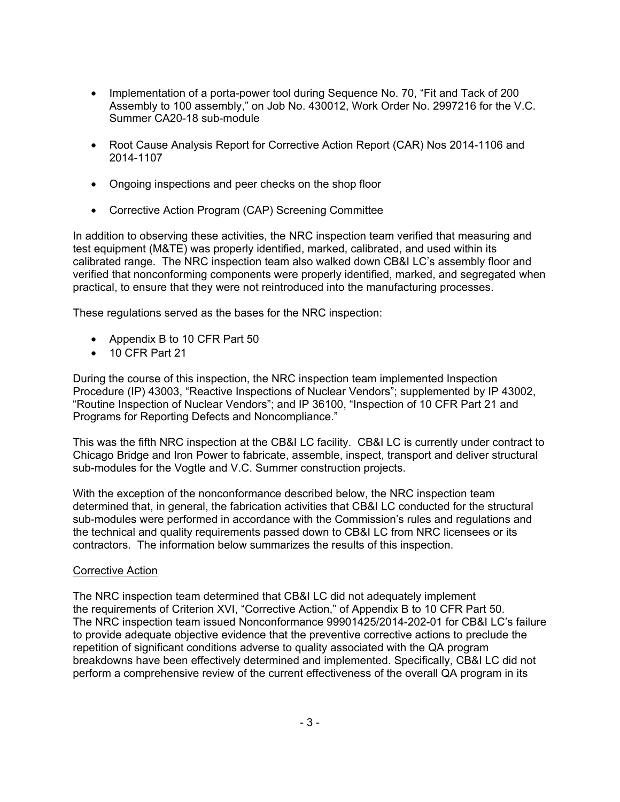- Implementation of a porta-power tool during Sequence No. 70, "Fit and Tack of 200 Assembly to 100 assembly," on Job No. 430012, Work Order No. 2997216 for the V.C. Summer CA20-18 sub-module
- Root Cause Analysis Report for Corrective Action Report (CAR) Nos 2014-1106 and 2014-1107
- Ongoing inspections and peer checks on the shop floor
- Corrective Action Program (CAP) Screening Committee

In addition to observing these activities, the NRC inspection team verified that measuring and test equipment (M&TE) was properly identified, marked, calibrated, and used within its calibrated range. The NRC inspection team also walked down CB&I LC's assembly floor and verified that nonconforming components were properly identified, marked, and segregated when practical, to ensure that they were not reintroduced into the manufacturing processes.

These regulations served as the bases for the NRC inspection:

- Appendix B to 10 CFR Part 50
- 10 CFR Part 21

During the course of this inspection, the NRC inspection team implemented Inspection Procedure (IP) 43003, "Reactive Inspections of Nuclear Vendors"; supplemented by IP 43002, "Routine Inspection of Nuclear Vendors"; and IP 36100, "Inspection of 10 CFR Part 21 and Programs for Reporting Defects and Noncompliance."

This was the fifth NRC inspection at the CB&I LC facility. CB&I LC is currently under contract to Chicago Bridge and Iron Power to fabricate, assemble, inspect, transport and deliver structural sub-modules for the Vogtle and V.C. Summer construction projects.

With the exception of the nonconformance described below, the NRC inspection team determined that, in general, the fabrication activities that CB&I LC conducted for the structural sub-modules were performed in accordance with the Commission's rules and regulations and the technical and quality requirements passed down to CB&I LC from NRC licensees or its contractors. The information below summarizes the results of this inspection.

## Corrective Action

The NRC inspection team determined that CB&I LC did not adequately implement the requirements of Criterion XVI, "Corrective Action," of Appendix B to 10 CFR Part 50. The NRC inspection team issued Nonconformance 99901425/2014-202-01 for CB&I LC's failure to provide adequate objective evidence that the preventive corrective actions to preclude the repetition of significant conditions adverse to quality associated with the QA program breakdowns have been effectively determined and implemented. Specifically, CB&I LC did not perform a comprehensive review of the current effectiveness of the overall QA program in its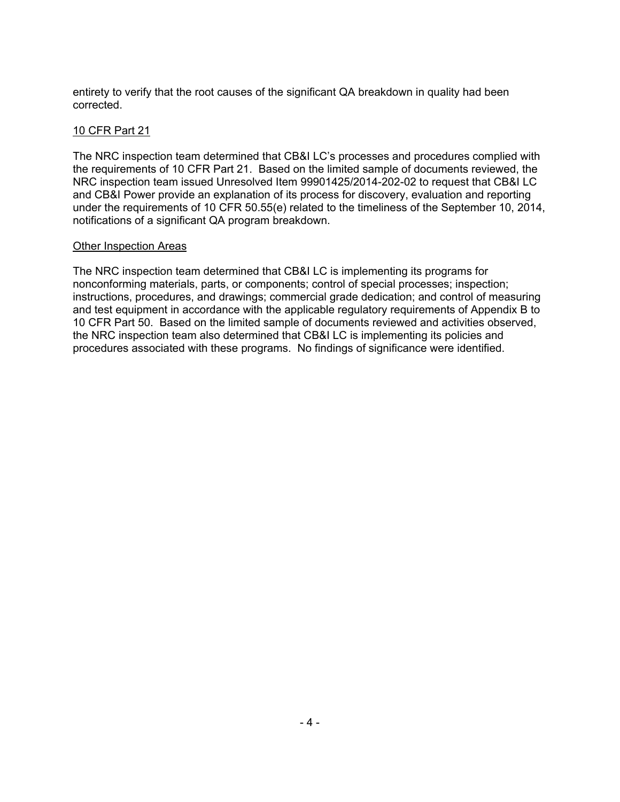entirety to verify that the root causes of the significant QA breakdown in quality had been corrected.

## 10 CFR Part 21

The NRC inspection team determined that CB&I LC's processes and procedures complied with the requirements of 10 CFR Part 21. Based on the limited sample of documents reviewed, the NRC inspection team issued Unresolved Item 99901425/2014-202-02 to request that CB&I LC and CB&I Power provide an explanation of its process for discovery, evaluation and reporting under the requirements of 10 CFR 50.55(e) related to the timeliness of the September 10, 2014, notifications of a significant QA program breakdown.

## Other Inspection Areas

The NRC inspection team determined that CB&I LC is implementing its programs for nonconforming materials, parts, or components; control of special processes; inspection; instructions, procedures, and drawings; commercial grade dedication; and control of measuring and test equipment in accordance with the applicable regulatory requirements of Appendix B to 10 CFR Part 50. Based on the limited sample of documents reviewed and activities observed, the NRC inspection team also determined that CB&I LC is implementing its policies and procedures associated with these programs. No findings of significance were identified.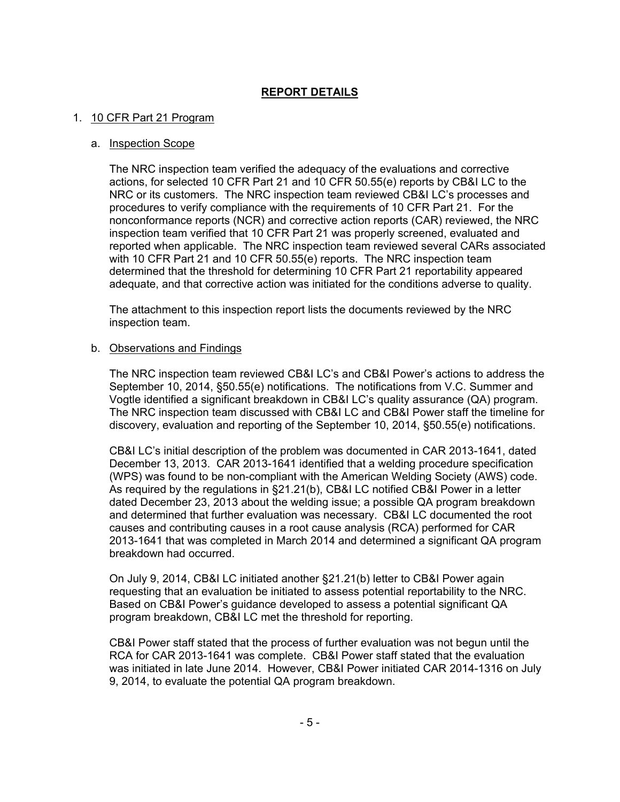# **REPORT DETAILS**

#### 1. 10 CFR Part 21 Program

#### a. Inspection Scope

The NRC inspection team verified the adequacy of the evaluations and corrective actions, for selected 10 CFR Part 21 and 10 CFR 50.55(e) reports by CB&I LC to the NRC or its customers. The NRC inspection team reviewed CB&I LC's processes and procedures to verify compliance with the requirements of 10 CFR Part 21. For the nonconformance reports (NCR) and corrective action reports (CAR) reviewed, the NRC inspection team verified that 10 CFR Part 21 was properly screened, evaluated and reported when applicable. The NRC inspection team reviewed several CARs associated with 10 CFR Part 21 and 10 CFR 50.55(e) reports. The NRC inspection team determined that the threshold for determining 10 CFR Part 21 reportability appeared adequate, and that corrective action was initiated for the conditions adverse to quality.

The attachment to this inspection report lists the documents reviewed by the NRC inspection team.

#### b. Observations and Findings

The NRC inspection team reviewed CB&I LC's and CB&I Power's actions to address the September 10, 2014, §50.55(e) notifications. The notifications from V.C. Summer and Vogtle identified a significant breakdown in CB&I LC's quality assurance (QA) program. The NRC inspection team discussed with CB&I LC and CB&I Power staff the timeline for discovery, evaluation and reporting of the September 10, 2014, §50.55(e) notifications.

CB&I LC's initial description of the problem was documented in CAR 2013-1641, dated December 13, 2013. CAR 2013-1641 identified that a welding procedure specification (WPS) was found to be non-compliant with the American Welding Society (AWS) code. As required by the regulations in §21.21(b), CB&I LC notified CB&I Power in a letter dated December 23, 2013 about the welding issue; a possible QA program breakdown and determined that further evaluation was necessary. CB&I LC documented the root causes and contributing causes in a root cause analysis (RCA) performed for CAR 2013-1641 that was completed in March 2014 and determined a significant QA program breakdown had occurred.

On July 9, 2014, CB&I LC initiated another §21.21(b) letter to CB&I Power again requesting that an evaluation be initiated to assess potential reportability to the NRC. Based on CB&I Power's guidance developed to assess a potential significant QA program breakdown, CB&I LC met the threshold for reporting.

CB&I Power staff stated that the process of further evaluation was not begun until the RCA for CAR 2013-1641 was complete. CB&I Power staff stated that the evaluation was initiated in late June 2014. However, CB&I Power initiated CAR 2014-1316 on July 9, 2014, to evaluate the potential QA program breakdown.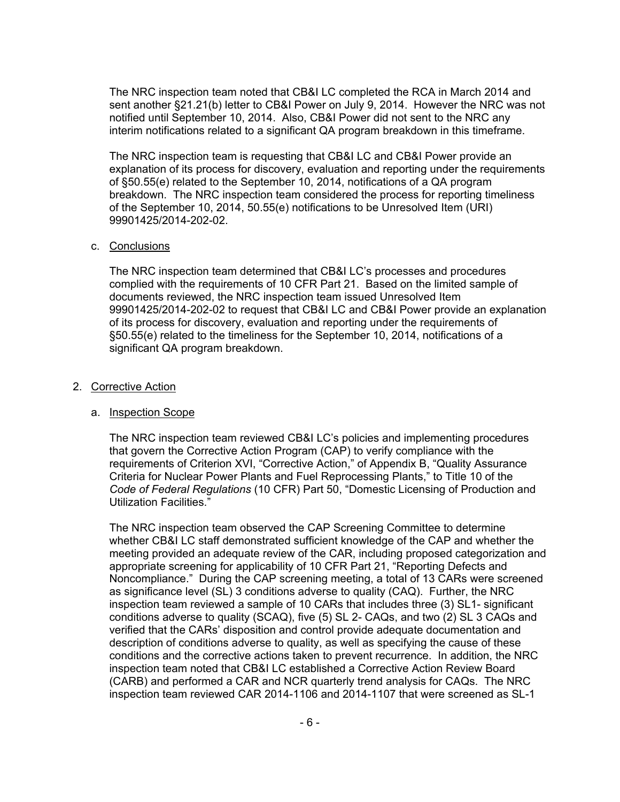The NRC inspection team noted that CB&I LC completed the RCA in March 2014 and sent another §21.21(b) letter to CB&I Power on July 9, 2014. However the NRC was not notified until September 10, 2014. Also, CB&I Power did not sent to the NRC any interim notifications related to a significant QA program breakdown in this timeframe.

The NRC inspection team is requesting that CB&I LC and CB&I Power provide an explanation of its process for discovery, evaluation and reporting under the requirements of §50.55(e) related to the September 10, 2014, notifications of a QA program breakdown. The NRC inspection team considered the process for reporting timeliness of the September 10, 2014, 50.55(e) notifications to be Unresolved Item (URI) 99901425/2014-202-02.

#### c. Conclusions

The NRC inspection team determined that CB&I LC's processes and procedures complied with the requirements of 10 CFR Part 21. Based on the limited sample of documents reviewed, the NRC inspection team issued Unresolved Item 99901425/2014-202-02 to request that CB&I LC and CB&I Power provide an explanation of its process for discovery, evaluation and reporting under the requirements of §50.55(e) related to the timeliness for the September 10, 2014, notifications of a significant QA program breakdown.

## 2. Corrective Action

## a. Inspection Scope

The NRC inspection team reviewed CB&I LC's policies and implementing procedures that govern the Corrective Action Program (CAP) to verify compliance with the requirements of Criterion XVI, "Corrective Action," of Appendix B, "Quality Assurance Criteria for Nuclear Power Plants and Fuel Reprocessing Plants," to Title 10 of the *Code of Federal Regulations* (10 CFR) Part 50, "Domestic Licensing of Production and Utilization Facilities."

The NRC inspection team observed the CAP Screening Committee to determine whether CB&I LC staff demonstrated sufficient knowledge of the CAP and whether the meeting provided an adequate review of the CAR, including proposed categorization and appropriate screening for applicability of 10 CFR Part 21, "Reporting Defects and Noncompliance." During the CAP screening meeting, a total of 13 CARs were screened as significance level (SL) 3 conditions adverse to quality (CAQ). Further, the NRC inspection team reviewed a sample of 10 CARs that includes three (3) SL1- significant conditions adverse to quality (SCAQ), five (5) SL 2- CAQs, and two (2) SL 3 CAQs and verified that the CARs' disposition and control provide adequate documentation and description of conditions adverse to quality, as well as specifying the cause of these conditions and the corrective actions taken to prevent recurrence. In addition, the NRC inspection team noted that CB&I LC established a Corrective Action Review Board (CARB) and performed a CAR and NCR quarterly trend analysis for CAQs. The NRC inspection team reviewed CAR 2014-1106 and 2014-1107 that were screened as SL-1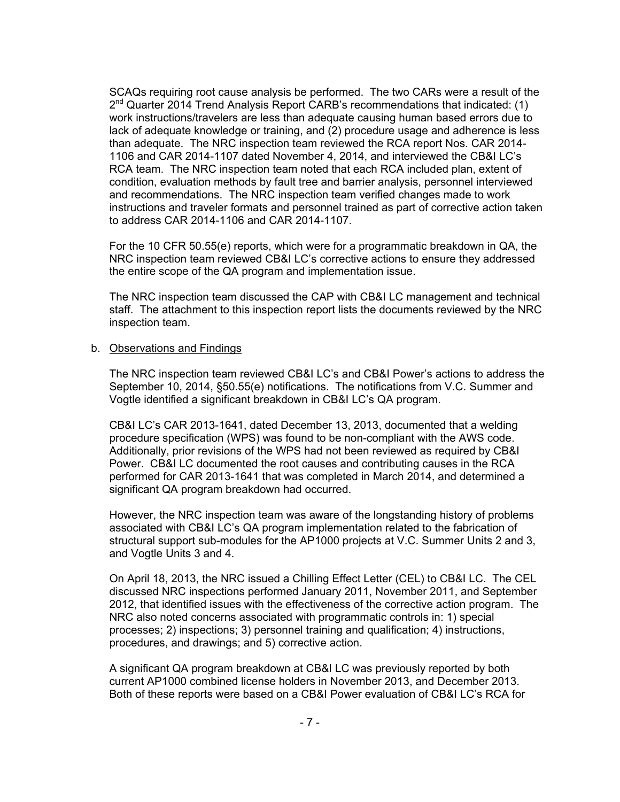SCAQs requiring root cause analysis be performed. The two CARs were a result of the  $2^{nd}$  Quarter 2014 Trend Analysis Report CARB's recommendations that indicated: (1) work instructions/travelers are less than adequate causing human based errors due to lack of adequate knowledge or training, and (2) procedure usage and adherence is less than adequate. The NRC inspection team reviewed the RCA report Nos. CAR 2014- 1106 and CAR 2014-1107 dated November 4, 2014, and interviewed the CB&I LC's RCA team. The NRC inspection team noted that each RCA included plan, extent of condition, evaluation methods by fault tree and barrier analysis, personnel interviewed and recommendations. The NRC inspection team verified changes made to work instructions and traveler formats and personnel trained as part of corrective action taken to address CAR 2014-1106 and CAR 2014-1107.

For the 10 CFR 50.55(e) reports, which were for a programmatic breakdown in QA, the NRC inspection team reviewed CB&I LC's corrective actions to ensure they addressed the entire scope of the QA program and implementation issue.

The NRC inspection team discussed the CAP with CB&I LC management and technical staff. The attachment to this inspection report lists the documents reviewed by the NRC inspection team.

#### b. Observations and Findings

The NRC inspection team reviewed CB&I LC's and CB&I Power's actions to address the September 10, 2014, §50.55(e) notifications. The notifications from V.C. Summer and Vogtle identified a significant breakdown in CB&I LC's QA program.

CB&I LC's CAR 2013-1641, dated December 13, 2013, documented that a welding procedure specification (WPS) was found to be non-compliant with the AWS code. Additionally, prior revisions of the WPS had not been reviewed as required by CB&I Power. CB&I LC documented the root causes and contributing causes in the RCA performed for CAR 2013-1641 that was completed in March 2014, and determined a significant QA program breakdown had occurred.

However, the NRC inspection team was aware of the longstanding history of problems associated with CB&I LC's QA program implementation related to the fabrication of structural support sub-modules for the AP1000 projects at V.C. Summer Units 2 and 3, and Vogtle Units 3 and 4.

On April 18, 2013, the NRC issued a Chilling Effect Letter (CEL) to CB&I LC. The CEL discussed NRC inspections performed January 2011, November 2011, and September 2012, that identified issues with the effectiveness of the corrective action program. The NRC also noted concerns associated with programmatic controls in: 1) special processes; 2) inspections; 3) personnel training and qualification; 4) instructions, procedures, and drawings; and 5) corrective action.

A significant QA program breakdown at CB&I LC was previously reported by both current AP1000 combined license holders in November 2013, and December 2013. Both of these reports were based on a CB&I Power evaluation of CB&I LC's RCA for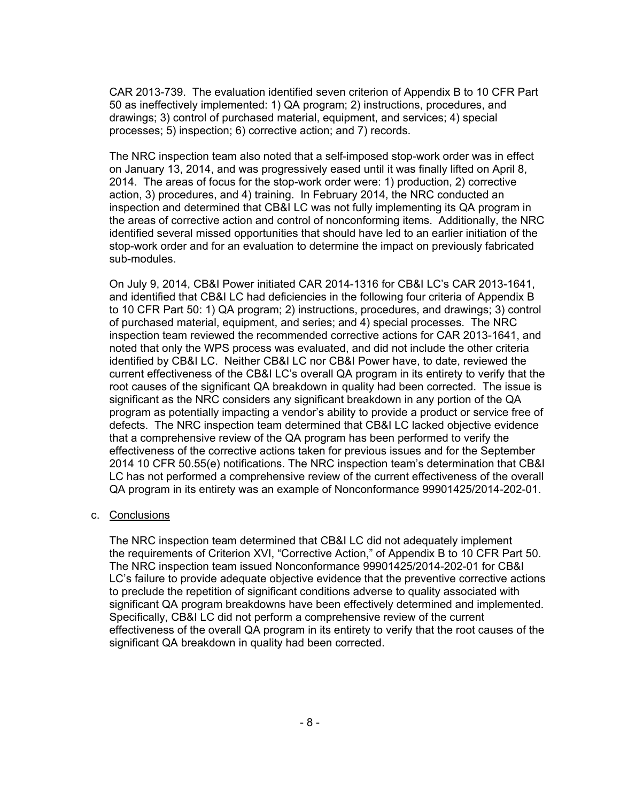CAR 2013-739. The evaluation identified seven criterion of Appendix B to 10 CFR Part 50 as ineffectively implemented: 1) QA program; 2) instructions, procedures, and drawings; 3) control of purchased material, equipment, and services; 4) special processes; 5) inspection; 6) corrective action; and 7) records.

The NRC inspection team also noted that a self-imposed stop-work order was in effect on January 13, 2014, and was progressively eased until it was finally lifted on April 8, 2014. The areas of focus for the stop-work order were: 1) production, 2) corrective action, 3) procedures, and 4) training. In February 2014, the NRC conducted an inspection and determined that CB&I LC was not fully implementing its QA program in the areas of corrective action and control of nonconforming items. Additionally, the NRC identified several missed opportunities that should have led to an earlier initiation of the stop-work order and for an evaluation to determine the impact on previously fabricated sub-modules.

On July 9, 2014, CB&I Power initiated CAR 2014-1316 for CB&I LC's CAR 2013-1641, and identified that CB&I LC had deficiencies in the following four criteria of Appendix B to 10 CFR Part 50: 1) QA program; 2) instructions, procedures, and drawings; 3) control of purchased material, equipment, and series; and 4) special processes. The NRC inspection team reviewed the recommended corrective actions for CAR 2013-1641, and noted that only the WPS process was evaluated, and did not include the other criteria identified by CB&I LC. Neither CB&I LC nor CB&I Power have, to date, reviewed the current effectiveness of the CB&I LC's overall QA program in its entirety to verify that the root causes of the significant QA breakdown in quality had been corrected. The issue is significant as the NRC considers any significant breakdown in any portion of the QA program as potentially impacting a vendor's ability to provide a product or service free of defects. The NRC inspection team determined that CB&I LC lacked objective evidence that a comprehensive review of the QA program has been performed to verify the effectiveness of the corrective actions taken for previous issues and for the September 2014 10 CFR 50.55(e) notifications. The NRC inspection team's determination that CB&I LC has not performed a comprehensive review of the current effectiveness of the overall QA program in its entirety was an example of Nonconformance 99901425/2014-202-01.

#### c. Conclusions

The NRC inspection team determined that CB&I LC did not adequately implement the requirements of Criterion XVI, "Corrective Action," of Appendix B to 10 CFR Part 50. The NRC inspection team issued Nonconformance 99901425/2014-202-01 for CB&I LC's failure to provide adequate objective evidence that the preventive corrective actions to preclude the repetition of significant conditions adverse to quality associated with significant QA program breakdowns have been effectively determined and implemented. Specifically, CB&I LC did not perform a comprehensive review of the current effectiveness of the overall QA program in its entirety to verify that the root causes of the significant QA breakdown in quality had been corrected.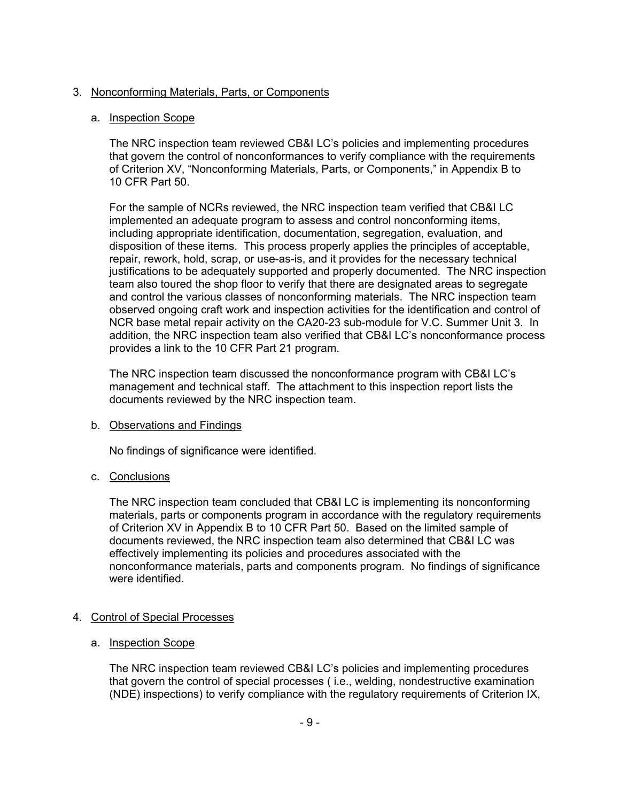# 3. Nonconforming Materials, Parts, or Components

## a. Inspection Scope

The NRC inspection team reviewed CB&I LC's policies and implementing procedures that govern the control of nonconformances to verify compliance with the requirements of Criterion XV, "Nonconforming Materials, Parts, or Components," in Appendix B to 10 CFR Part 50.

For the sample of NCRs reviewed, the NRC inspection team verified that CB&I LC implemented an adequate program to assess and control nonconforming items, including appropriate identification, documentation, segregation, evaluation, and disposition of these items. This process properly applies the principles of acceptable, repair, rework, hold, scrap, or use-as-is, and it provides for the necessary technical justifications to be adequately supported and properly documented. The NRC inspection team also toured the shop floor to verify that there are designated areas to segregate and control the various classes of nonconforming materials. The NRC inspection team observed ongoing craft work and inspection activities for the identification and control of NCR base metal repair activity on the CA20-23 sub-module for V.C. Summer Unit 3. In addition, the NRC inspection team also verified that CB&I LC's nonconformance process provides a link to the 10 CFR Part 21 program.

The NRC inspection team discussed the nonconformance program with CB&I LC's management and technical staff. The attachment to this inspection report lists the documents reviewed by the NRC inspection team.

## b. Observations and Findings

No findings of significance were identified.

# c. Conclusions

The NRC inspection team concluded that CB&I LC is implementing its nonconforming materials, parts or components program in accordance with the regulatory requirements of Criterion XV in Appendix B to 10 CFR Part 50. Based on the limited sample of documents reviewed, the NRC inspection team also determined that CB&I LC was effectively implementing its policies and procedures associated with the nonconformance materials, parts and components program. No findings of significance were identified.

# 4. Control of Special Processes

# a. Inspection Scope

The NRC inspection team reviewed CB&I LC's policies and implementing procedures that govern the control of special processes ( i.e., welding, nondestructive examination (NDE) inspections) to verify compliance with the regulatory requirements of Criterion IX,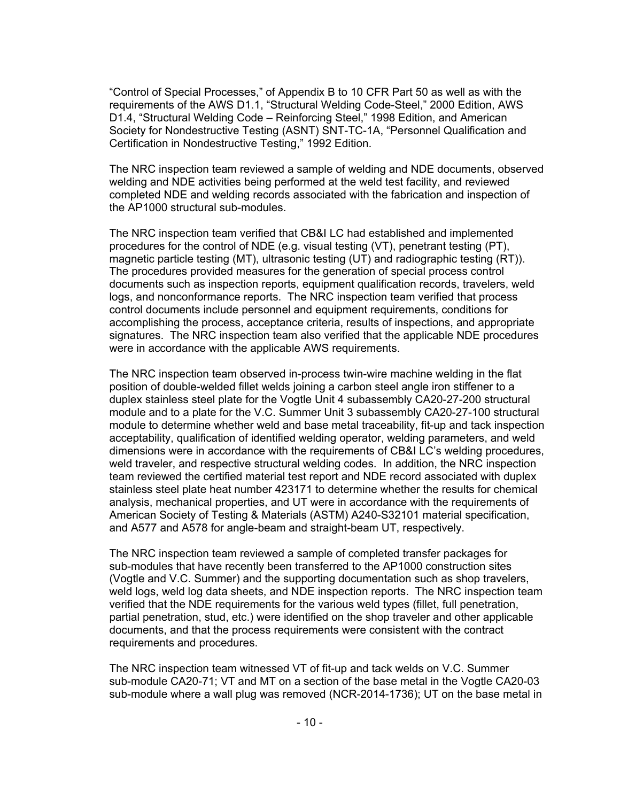"Control of Special Processes," of Appendix B to 10 CFR Part 50 as well as with the requirements of the AWS D1.1, "Structural Welding Code-Steel," 2000 Edition, AWS D1.4, "Structural Welding Code – Reinforcing Steel," 1998 Edition, and American Society for Nondestructive Testing (ASNT) SNT-TC-1A, "Personnel Qualification and Certification in Nondestructive Testing," 1992 Edition.

The NRC inspection team reviewed a sample of welding and NDE documents, observed welding and NDE activities being performed at the weld test facility, and reviewed completed NDE and welding records associated with the fabrication and inspection of the AP1000 structural sub-modules.

The NRC inspection team verified that CB&I LC had established and implemented procedures for the control of NDE (e.g. visual testing (VT), penetrant testing (PT), magnetic particle testing (MT), ultrasonic testing (UT) and radiographic testing (RT)). The procedures provided measures for the generation of special process control documents such as inspection reports, equipment qualification records, travelers, weld logs, and nonconformance reports. The NRC inspection team verified that process control documents include personnel and equipment requirements, conditions for accomplishing the process, acceptance criteria, results of inspections, and appropriate signatures. The NRC inspection team also verified that the applicable NDE procedures were in accordance with the applicable AWS requirements.

The NRC inspection team observed in-process twin-wire machine welding in the flat position of double-welded fillet welds joining a carbon steel angle iron stiffener to a duplex stainless steel plate for the Vogtle Unit 4 subassembly CA20-27-200 structural module and to a plate for the V.C. Summer Unit 3 subassembly CA20-27-100 structural module to determine whether weld and base metal traceability, fit-up and tack inspection acceptability, qualification of identified welding operator, welding parameters, and weld dimensions were in accordance with the requirements of CB&I LC's welding procedures, weld traveler, and respective structural welding codes. In addition, the NRC inspection team reviewed the certified material test report and NDE record associated with duplex stainless steel plate heat number 423171 to determine whether the results for chemical analysis, mechanical properties, and UT were in accordance with the requirements of American Society of Testing & Materials (ASTM) A240-S32101 material specification, and A577 and A578 for angle-beam and straight-beam UT, respectively.

The NRC inspection team reviewed a sample of completed transfer packages for sub-modules that have recently been transferred to the AP1000 construction sites (Vogtle and V.C. Summer) and the supporting documentation such as shop travelers, weld logs, weld log data sheets, and NDE inspection reports. The NRC inspection team verified that the NDE requirements for the various weld types (fillet, full penetration, partial penetration, stud, etc.) were identified on the shop traveler and other applicable documents, and that the process requirements were consistent with the contract requirements and procedures.

The NRC inspection team witnessed VT of fit-up and tack welds on V.C. Summer sub-module CA20-71; VT and MT on a section of the base metal in the Vogtle CA20-03 sub-module where a wall plug was removed (NCR-2014-1736); UT on the base metal in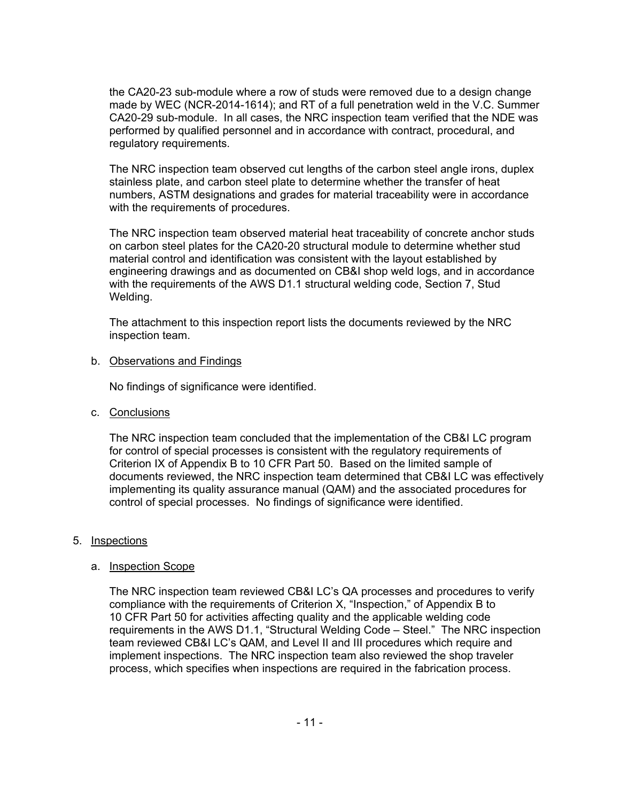the CA20-23 sub-module where a row of studs were removed due to a design change made by WEC (NCR-2014-1614); and RT of a full penetration weld in the V.C. Summer CA20-29 sub-module. In all cases, the NRC inspection team verified that the NDE was performed by qualified personnel and in accordance with contract, procedural, and regulatory requirements.

The NRC inspection team observed cut lengths of the carbon steel angle irons, duplex stainless plate, and carbon steel plate to determine whether the transfer of heat numbers, ASTM designations and grades for material traceability were in accordance with the requirements of procedures.

The NRC inspection team observed material heat traceability of concrete anchor studs on carbon steel plates for the CA20-20 structural module to determine whether stud material control and identification was consistent with the layout established by engineering drawings and as documented on CB&I shop weld logs, and in accordance with the requirements of the AWS D1.1 structural welding code, Section 7, Stud Welding.

The attachment to this inspection report lists the documents reviewed by the NRC inspection team.

#### b. Observations and Findings

No findings of significance were identified.

c. Conclusions

The NRC inspection team concluded that the implementation of the CB&I LC program for control of special processes is consistent with the regulatory requirements of Criterion IX of Appendix B to 10 CFR Part 50. Based on the limited sample of documents reviewed, the NRC inspection team determined that CB&I LC was effectively implementing its quality assurance manual (QAM) and the associated procedures for control of special processes. No findings of significance were identified.

## 5. Inspections

## a. Inspection Scope

The NRC inspection team reviewed CB&I LC's QA processes and procedures to verify compliance with the requirements of Criterion X, "Inspection," of Appendix B to 10 CFR Part 50 for activities affecting quality and the applicable welding code requirements in the AWS D1.1, "Structural Welding Code – Steel." The NRC inspection team reviewed CB&I LC's QAM, and Level II and III procedures which require and implement inspections. The NRC inspection team also reviewed the shop traveler process, which specifies when inspections are required in the fabrication process.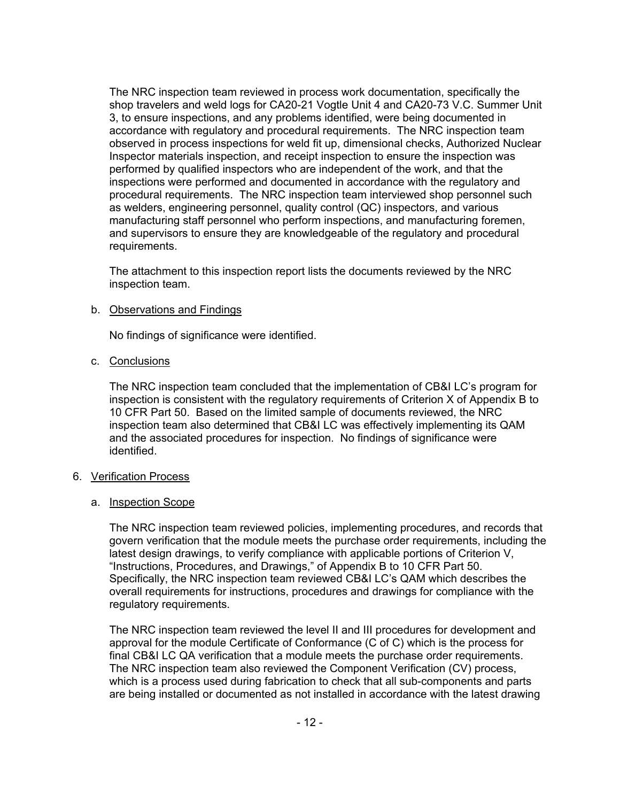The NRC inspection team reviewed in process work documentation, specifically the shop travelers and weld logs for CA20-21 Vogtle Unit 4 and CA20-73 V.C. Summer Unit 3, to ensure inspections, and any problems identified, were being documented in accordance with regulatory and procedural requirements. The NRC inspection team observed in process inspections for weld fit up, dimensional checks, Authorized Nuclear Inspector materials inspection, and receipt inspection to ensure the inspection was performed by qualified inspectors who are independent of the work, and that the inspections were performed and documented in accordance with the regulatory and procedural requirements. The NRC inspection team interviewed shop personnel such as welders, engineering personnel, quality control (QC) inspectors, and various manufacturing staff personnel who perform inspections, and manufacturing foremen, and supervisors to ensure they are knowledgeable of the regulatory and procedural requirements.

The attachment to this inspection report lists the documents reviewed by the NRC inspection team.

## b. Observations and Findings

No findings of significance were identified.

#### c. Conclusions

The NRC inspection team concluded that the implementation of CB&I LC's program for inspection is consistent with the regulatory requirements of Criterion X of Appendix B to 10 CFR Part 50. Based on the limited sample of documents reviewed, the NRC inspection team also determined that CB&I LC was effectively implementing its QAM and the associated procedures for inspection. No findings of significance were identified.

## 6. Verification Process

#### a. Inspection Scope

The NRC inspection team reviewed policies, implementing procedures, and records that govern verification that the module meets the purchase order requirements, including the latest design drawings, to verify compliance with applicable portions of Criterion V, "Instructions, Procedures, and Drawings," of Appendix B to 10 CFR Part 50. Specifically, the NRC inspection team reviewed CB&I LC's QAM which describes the overall requirements for instructions, procedures and drawings for compliance with the regulatory requirements.

The NRC inspection team reviewed the level II and III procedures for development and approval for the module Certificate of Conformance (C of C) which is the process for final CB&I LC QA verification that a module meets the purchase order requirements. The NRC inspection team also reviewed the Component Verification (CV) process, which is a process used during fabrication to check that all sub-components and parts are being installed or documented as not installed in accordance with the latest drawing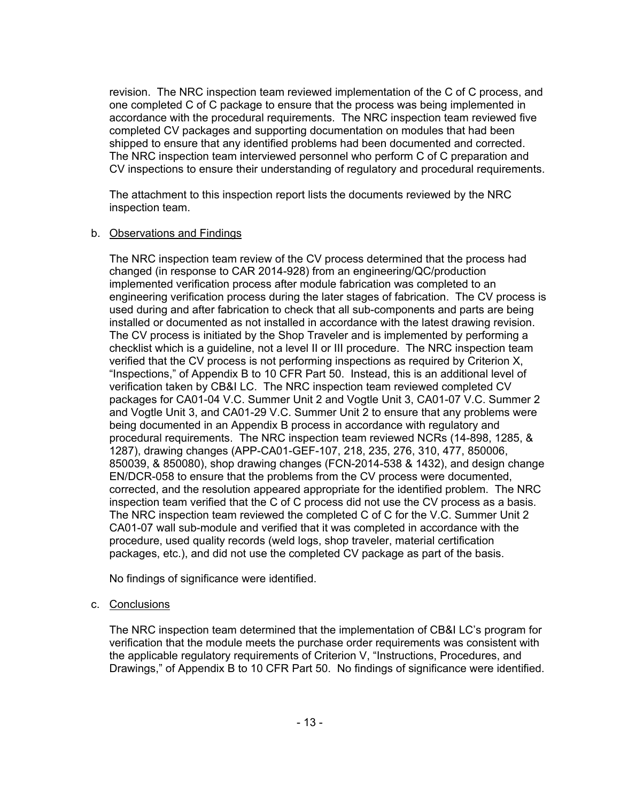revision. The NRC inspection team reviewed implementation of the C of C process, and one completed C of C package to ensure that the process was being implemented in accordance with the procedural requirements. The NRC inspection team reviewed five completed CV packages and supporting documentation on modules that had been shipped to ensure that any identified problems had been documented and corrected. The NRC inspection team interviewed personnel who perform C of C preparation and CV inspections to ensure their understanding of regulatory and procedural requirements.

The attachment to this inspection report lists the documents reviewed by the NRC inspection team.

#### b. Observations and Findings

The NRC inspection team review of the CV process determined that the process had changed (in response to CAR 2014-928) from an engineering/QC/production implemented verification process after module fabrication was completed to an engineering verification process during the later stages of fabrication. The CV process is used during and after fabrication to check that all sub-components and parts are being installed or documented as not installed in accordance with the latest drawing revision. The CV process is initiated by the Shop Traveler and is implemented by performing a checklist which is a guideline, not a level II or III procedure. The NRC inspection team verified that the CV process is not performing inspections as required by Criterion X, "Inspections," of Appendix B to 10 CFR Part 50. Instead, this is an additional level of verification taken by CB&I LC. The NRC inspection team reviewed completed CV packages for CA01-04 V.C. Summer Unit 2 and Vogtle Unit 3, CA01-07 V.C. Summer 2 and Vogtle Unit 3, and CA01-29 V.C. Summer Unit 2 to ensure that any problems were being documented in an Appendix B process in accordance with regulatory and procedural requirements. The NRC inspection team reviewed NCRs (14-898, 1285, & 1287), drawing changes (APP-CA01-GEF-107, 218, 235, 276, 310, 477, 850006, 850039, & 850080), shop drawing changes (FCN-2014-538 & 1432), and design change EN/DCR-058 to ensure that the problems from the CV process were documented, corrected, and the resolution appeared appropriate for the identified problem. The NRC inspection team verified that the C of C process did not use the CV process as a basis. The NRC inspection team reviewed the completed C of C for the V.C. Summer Unit 2 CA01-07 wall sub-module and verified that it was completed in accordance with the procedure, used quality records (weld logs, shop traveler, material certification packages, etc.), and did not use the completed CV package as part of the basis.

No findings of significance were identified.

## c. Conclusions

The NRC inspection team determined that the implementation of CB&I LC's program for verification that the module meets the purchase order requirements was consistent with the applicable regulatory requirements of Criterion V, "Instructions, Procedures, and Drawings," of Appendix B to 10 CFR Part 50. No findings of significance were identified.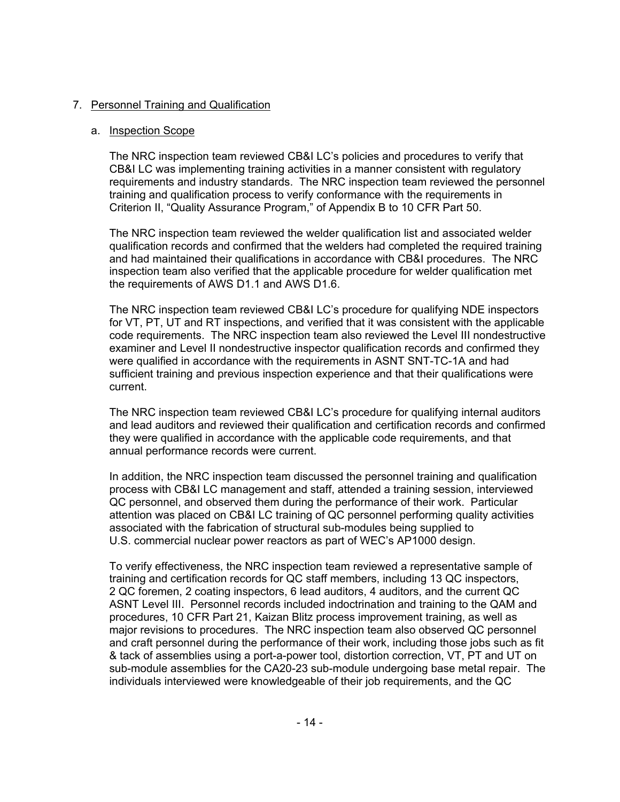# 7. Personnel Training and Qualification

# a. Inspection Scope

The NRC inspection team reviewed CB&I LC's policies and procedures to verify that CB&I LC was implementing training activities in a manner consistent with regulatory requirements and industry standards. The NRC inspection team reviewed the personnel training and qualification process to verify conformance with the requirements in Criterion II, "Quality Assurance Program," of Appendix B to 10 CFR Part 50.

The NRC inspection team reviewed the welder qualification list and associated welder qualification records and confirmed that the welders had completed the required training and had maintained their qualifications in accordance with CB&I procedures. The NRC inspection team also verified that the applicable procedure for welder qualification met the requirements of AWS D1.1 and AWS D1.6.

The NRC inspection team reviewed CB&I LC's procedure for qualifying NDE inspectors for VT, PT, UT and RT inspections, and verified that it was consistent with the applicable code requirements. The NRC inspection team also reviewed the Level III nondestructive examiner and Level II nondestructive inspector qualification records and confirmed they were qualified in accordance with the requirements in ASNT SNT-TC-1A and had sufficient training and previous inspection experience and that their qualifications were current.

The NRC inspection team reviewed CB&I LC's procedure for qualifying internal auditors and lead auditors and reviewed their qualification and certification records and confirmed they were qualified in accordance with the applicable code requirements, and that annual performance records were current.

In addition, the NRC inspection team discussed the personnel training and qualification process with CB&I LC management and staff, attended a training session, interviewed QC personnel, and observed them during the performance of their work. Particular attention was placed on CB&I LC training of QC personnel performing quality activities associated with the fabrication of structural sub-modules being supplied to U.S. commercial nuclear power reactors as part of WEC's AP1000 design.

To verify effectiveness, the NRC inspection team reviewed a representative sample of training and certification records for QC staff members, including 13 QC inspectors, 2 QC foremen, 2 coating inspectors, 6 lead auditors, 4 auditors, and the current QC ASNT Level III. Personnel records included indoctrination and training to the QAM and procedures, 10 CFR Part 21, Kaizan Blitz process improvement training, as well as major revisions to procedures. The NRC inspection team also observed QC personnel and craft personnel during the performance of their work, including those jobs such as fit & tack of assemblies using a port-a-power tool, distortion correction, VT, PT and UT on sub-module assemblies for the CA20-23 sub-module undergoing base metal repair. The individuals interviewed were knowledgeable of their job requirements, and the QC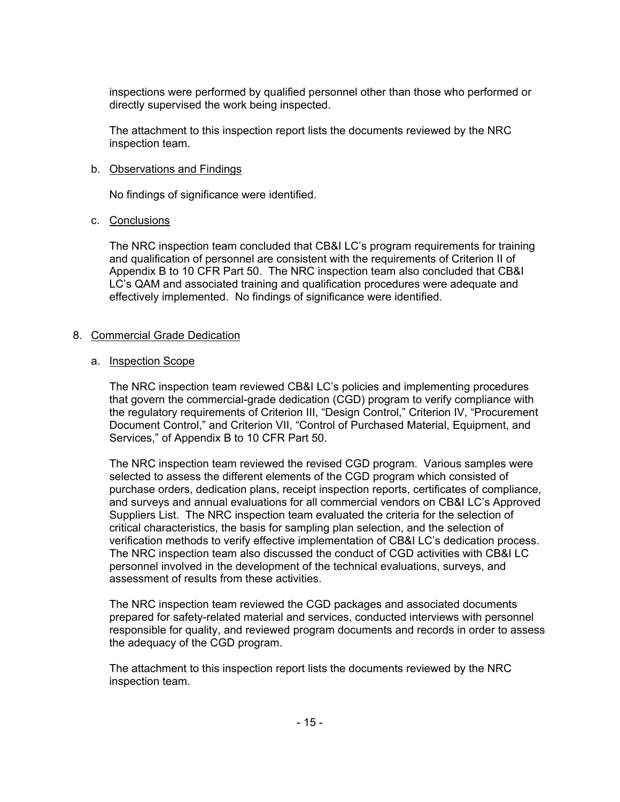inspections were performed by qualified personnel other than those who performed or directly supervised the work being inspected.

The attachment to this inspection report lists the documents reviewed by the NRC inspection team.

#### b. Observations and Findings

No findings of significance were identified.

#### c. Conclusions

The NRC inspection team concluded that CB&I LC's program requirements for training and qualification of personnel are consistent with the requirements of Criterion II of Appendix B to 10 CFR Part 50. The NRC inspection team also concluded that CB&I LC's QAM and associated training and qualification procedures were adequate and effectively implemented. No findings of significance were identified.

## 8. Commercial Grade Dedication

#### a. Inspection Scope

The NRC inspection team reviewed CB&I LC's policies and implementing procedures that govern the commercial-grade dedication (CGD) program to verify compliance with the regulatory requirements of Criterion III, "Design Control," Criterion IV, "Procurement Document Control," and Criterion VII, "Control of Purchased Material, Equipment, and Services," of Appendix B to 10 CFR Part 50.

The NRC inspection team reviewed the revised CGD program. Various samples were selected to assess the different elements of the CGD program which consisted of purchase orders, dedication plans, receipt inspection reports, certificates of compliance, and surveys and annual evaluations for all commercial vendors on CB&I LC's Approved Suppliers List. The NRC inspection team evaluated the criteria for the selection of critical characteristics, the basis for sampling plan selection, and the selection of verification methods to verify effective implementation of CB&I LC's dedication process. The NRC inspection team also discussed the conduct of CGD activities with CB&I LC personnel involved in the development of the technical evaluations, surveys, and assessment of results from these activities.

The NRC inspection team reviewed the CGD packages and associated documents prepared for safety-related material and services, conducted interviews with personnel responsible for quality, and reviewed program documents and records in order to assess the adequacy of the CGD program.

The attachment to this inspection report lists the documents reviewed by the NRC inspection team.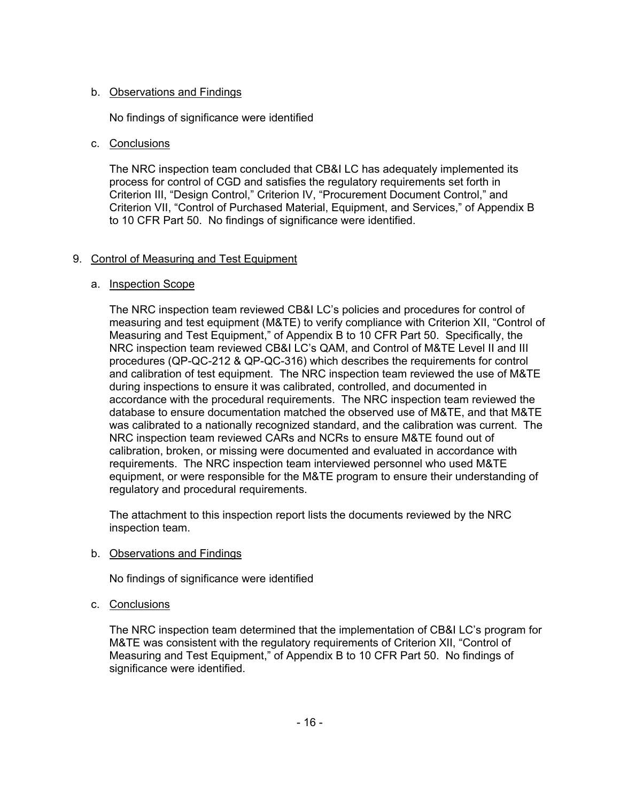# b. Observations and Findings

No findings of significance were identified

# c. Conclusions

The NRC inspection team concluded that CB&I LC has adequately implemented its process for control of CGD and satisfies the regulatory requirements set forth in Criterion III, "Design Control," Criterion IV, "Procurement Document Control," and Criterion VII, "Control of Purchased Material, Equipment, and Services," of Appendix B to 10 CFR Part 50. No findings of significance were identified.

# 9. Control of Measuring and Test Equipment

# a. Inspection Scope

The NRC inspection team reviewed CB&I LC's policies and procedures for control of measuring and test equipment (M&TE) to verify compliance with Criterion XII, "Control of Measuring and Test Equipment," of Appendix B to 10 CFR Part 50. Specifically, the NRC inspection team reviewed CB&I LC's QAM, and Control of M&TE Level II and III procedures (QP-QC-212 & QP-QC-316) which describes the requirements for control and calibration of test equipment. The NRC inspection team reviewed the use of M&TE during inspections to ensure it was calibrated, controlled, and documented in accordance with the procedural requirements. The NRC inspection team reviewed the database to ensure documentation matched the observed use of M&TE, and that M&TE was calibrated to a nationally recognized standard, and the calibration was current. The NRC inspection team reviewed CARs and NCRs to ensure M&TE found out of calibration, broken, or missing were documented and evaluated in accordance with requirements. The NRC inspection team interviewed personnel who used M&TE equipment, or were responsible for the M&TE program to ensure their understanding of regulatory and procedural requirements.

The attachment to this inspection report lists the documents reviewed by the NRC inspection team.

b. Observations and Findings

No findings of significance were identified

c. Conclusions

The NRC inspection team determined that the implementation of CB&I LC's program for M&TE was consistent with the regulatory requirements of Criterion XII, "Control of Measuring and Test Equipment," of Appendix B to 10 CFR Part 50. No findings of significance were identified.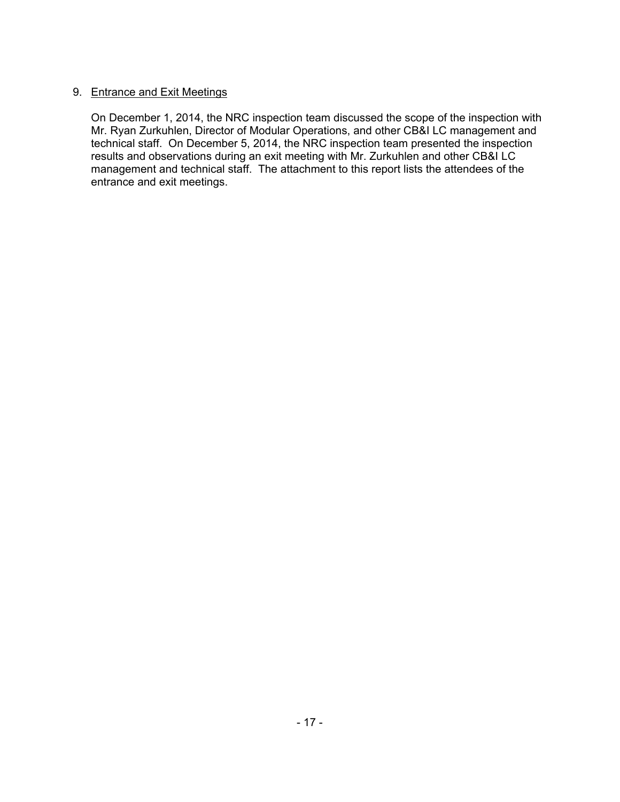# 9. Entrance and Exit Meetings

On December 1, 2014, the NRC inspection team discussed the scope of the inspection with Mr. Ryan Zurkuhlen, Director of Modular Operations, and other CB&I LC management and technical staff. On December 5, 2014, the NRC inspection team presented the inspection results and observations during an exit meeting with Mr. Zurkuhlen and other CB&I LC management and technical staff. The attachment to this report lists the attendees of the entrance and exit meetings.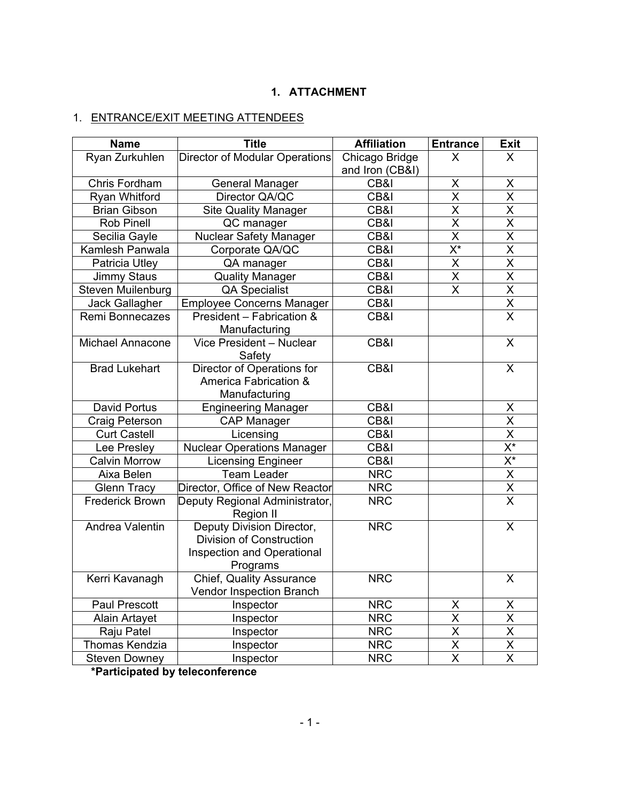# **1. ATTACHMENT**

# 1. ENTRANCE/EXIT MEETING ATTENDEES

| <b>Name</b>             | <b>Title</b>                                                                                    | <b>Affiliation</b> | <b>Entrance</b>           | <b>Exit</b>                         |
|-------------------------|-------------------------------------------------------------------------------------------------|--------------------|---------------------------|-------------------------------------|
| Ryan Zurkuhlen          | <b>Director of Modular Operations</b>                                                           | Chicago Bridge     | X                         | X                                   |
|                         |                                                                                                 | and Iron (CB&I)    |                           |                                     |
| Chris Fordham           | <b>General Manager</b>                                                                          | CB&I               | X                         | X                                   |
| Ryan Whitford           | Director QA/QC                                                                                  | CB&I               | $\overline{\mathsf{x}}$   | $\overline{\mathsf{x}}$             |
| <b>Brian Gibson</b>     | <b>Site Quality Manager</b>                                                                     | CB&I               | X                         | X                                   |
| <b>Rob Pinell</b>       | QC manager                                                                                      | CB&I               | $\overline{\mathsf{x}}$   | $\overline{\mathsf{x}}$             |
| Secilia Gayle           | <b>Nuclear Safety Manager</b>                                                                   | CB&I               | X                         | $\overline{\mathsf{X}}$             |
| Kamlesh Panwala         | Corporate QA/QC                                                                                 | CB&I               | $\overline{\mathsf{X}^*}$ | $\overline{\mathsf{x}}$             |
| Patricia Utley          | QA manager                                                                                      | CB&I               | $\overline{\mathsf{X}}$   | $\overline{\mathsf{x}}$             |
| Jimmy Staus             | <b>Quality Manager</b>                                                                          | CB&I               | $\overline{X}$            | $\overline{\mathsf{x}}$             |
| Steven Muilenburg       | <b>QA Specialist</b>                                                                            | CB&I               | X                         | $\overline{\mathsf{X}}$             |
| Jack Gallagher          | <b>Employee Concerns Manager</b>                                                                | CB&I               |                           | $\overline{X}$                      |
| Remi Bonnecazes         | President - Fabrication &<br>Manufacturing                                                      | CB&I               |                           | $\overline{\mathsf{x}}$             |
| <b>Michael Annacone</b> | Vice President - Nuclear<br>Safety                                                              | CB&I               |                           | X                                   |
| <b>Brad Lukehart</b>    | Director of Operations for<br>America Fabrication &<br>Manufacturing                            | CB&I               |                           | X                                   |
| <b>David Portus</b>     | <b>Engineering Manager</b>                                                                      | CB&I               |                           | X                                   |
| Craig Peterson          | <b>CAP Manager</b>                                                                              | CB&I               |                           | $\overline{X}$                      |
| <b>Curt Castell</b>     | Licensing                                                                                       | CB&I               |                           | $\overline{\mathsf{x}}$             |
| Lee Presley             | <b>Nuclear Operations Manager</b>                                                               | CB&I               |                           | $\overline{X^*}$                    |
| <b>Calvin Morrow</b>    | <b>Licensing Engineer</b>                                                                       | CB&I               |                           | $\overline{\mathsf{X}^{\star}}$     |
| Aixa Belen              | <b>Team Leader</b>                                                                              | <b>NRC</b>         |                           | $\overline{X}$                      |
| <b>Glenn Tracy</b>      | Director, Office of New Reactor                                                                 | <b>NRC</b>         |                           | $\frac{\overline{X}}{\overline{X}}$ |
| <b>Frederick Brown</b>  | Deputy Regional Administrator,<br>Region II                                                     | <b>NRC</b>         |                           |                                     |
| Andrea Valentin         | Deputy Division Director,<br>Division of Construction<br>Inspection and Operational<br>Programs | <b>NRC</b>         |                           | X                                   |
| Kerri Kavanagh          | <b>Chief, Quality Assurance</b><br>Vendor Inspection Branch                                     | <b>NRC</b>         |                           | X                                   |
| Paul Prescott           | Inspector                                                                                       | <b>NRC</b>         | $\overline{\mathsf{X}}$   | X                                   |
| Alain Artayet           | Inspector                                                                                       | <b>NRC</b>         | $\overline{\mathsf{x}}$   | $\overline{\mathsf{x}}$             |
| Raju Patel              | Inspector                                                                                       | <b>NRC</b>         | $\overline{\mathsf{x}}$   | $\overline{\mathsf{x}}$             |
| Thomas Kendzia          | Inspector                                                                                       | <b>NRC</b>         | $\overline{\mathsf{x}}$   | $\overline{\mathsf{X}}$             |
| <b>Steven Downey</b>    | Inspector                                                                                       | <b>NRC</b>         | $\overline{\mathsf{X}}$   | $\overline{\mathsf{X}}$             |

**\*Participated by teleconference**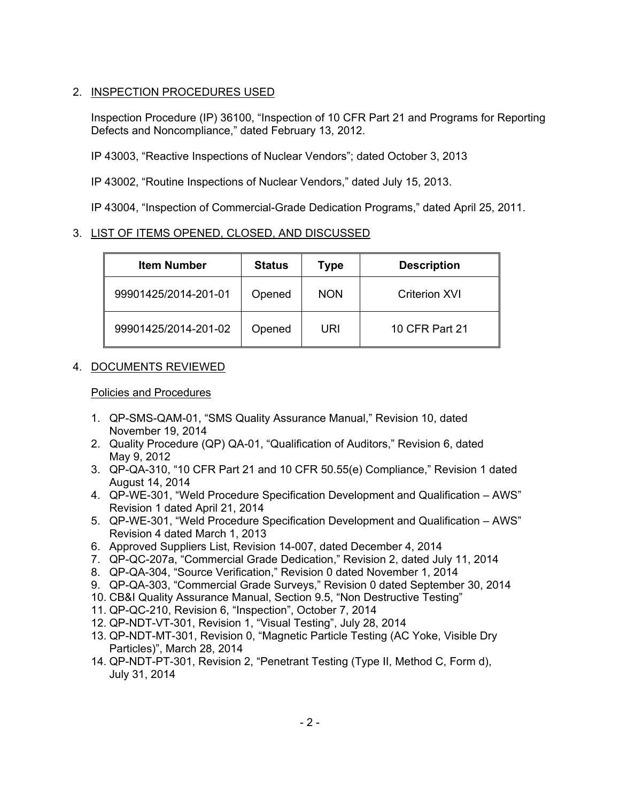# 2. INSPECTION PROCEDURES USED

Inspection Procedure (IP) 36100, "Inspection of 10 CFR Part 21 and Programs for Reporting Defects and Noncompliance," dated February 13, 2012.

IP 43003, "Reactive Inspections of Nuclear Vendors"; dated October 3, 2013

IP 43002, "Routine Inspections of Nuclear Vendors," dated July 15, 2013.

IP 43004, "Inspection of Commercial-Grade Dedication Programs," dated April 25, 2011.

# 3. LIST OF ITEMS OPENED, CLOSED, AND DISCUSSED

| <b>Item Number</b>   | <b>Status</b> | Type       | <b>Description</b>   |
|----------------------|---------------|------------|----------------------|
| 99901425/2014-201-01 | Opened        | <b>NON</b> | <b>Criterion XVI</b> |
| 99901425/2014-201-02 | Opened        | URI        | 10 CFR Part 21       |

# 4. DOCUMENTS REVIEWED

# Policies and Procedures

- 1. QP-SMS-QAM-01, "SMS Quality Assurance Manual," Revision 10, dated November 19, 2014
- 2. Quality Procedure (QP) QA-01, "Qualification of Auditors," Revision 6, dated May 9, 2012
- 3. QP-QA-310, "10 CFR Part 21 and 10 CFR 50.55(e) Compliance," Revision 1 dated August 14, 2014
- 4. QP-WE-301, "Weld Procedure Specification Development and Qualification AWS" Revision 1 dated April 21, 2014
- 5. QP-WE-301, "Weld Procedure Specification Development and Qualification AWS" Revision 4 dated March 1, 2013
- 6. Approved Suppliers List, Revision 14-007, dated December 4, 2014
- 7. QP-QC-207a, "Commercial Grade Dedication," Revision 2, dated July 11, 2014
- 8. QP-QA-304, "Source Verification," Revision 0 dated November 1, 2014
- 9. QP-QA-303, "Commercial Grade Surveys," Revision 0 dated September 30, 2014
- 10. CB&I Quality Assurance Manual, Section 9.5, "Non Destructive Testing"
- 11. QP-QC-210, Revision 6, "Inspection", October 7, 2014
- 12. QP-NDT-VT-301, Revision 1, "Visual Testing", July 28, 2014
- 13. QP-NDT-MT-301, Revision 0, "Magnetic Particle Testing (AC Yoke, Visible Dry Particles)", March 28, 2014
- 14. QP-NDT-PT-301, Revision 2, "Penetrant Testing (Type II, Method C, Form d), July 31, 2014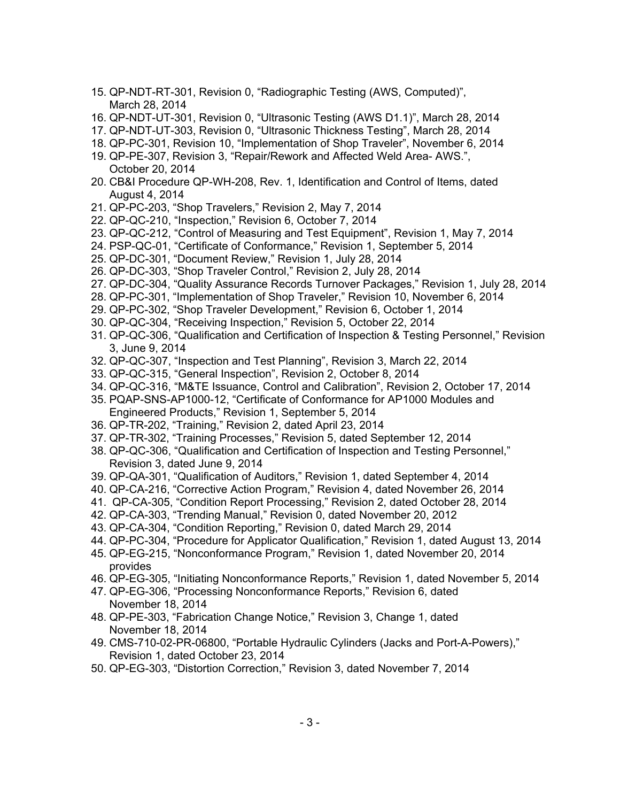- 15. QP-NDT-RT-301, Revision 0, "Radiographic Testing (AWS, Computed)", March 28, 2014
- 16. QP-NDT-UT-301, Revision 0, "Ultrasonic Testing (AWS D1.1)", March 28, 2014
- 17. QP-NDT-UT-303, Revision 0, "Ultrasonic Thickness Testing", March 28, 2014
- 18. QP-PC-301, Revision 10, "Implementation of Shop Traveler", November 6, 2014
- 19. QP-PE-307, Revision 3, "Repair/Rework and Affected Weld Area- AWS.", October 20, 2014
- 20. CB&I Procedure QP-WH-208, Rev. 1, Identification and Control of Items, dated August 4, 2014
- 21. QP-PC-203, "Shop Travelers," Revision 2, May 7, 2014
- 22. QP-QC-210, "Inspection," Revision 6, October 7, 2014
- 23. QP-QC-212, "Control of Measuring and Test Equipment", Revision 1, May 7, 2014
- 24. PSP-QC-01, "Certificate of Conformance," Revision 1, September 5, 2014
- 25. QP-DC-301, "Document Review," Revision 1, July 28, 2014
- 26. QP-DC-303, "Shop Traveler Control," Revision 2, July 28, 2014
- 27. QP-DC-304, "Quality Assurance Records Turnover Packages," Revision 1, July 28, 2014
- 28. QP-PC-301, "Implementation of Shop Traveler," Revision 10, November 6, 2014
- 29. QP-PC-302, "Shop Traveler Development," Revision 6, October 1, 2014
- 30. QP-QC-304, "Receiving Inspection," Revision 5, October 22, 2014
- 31. QP-QC-306, "Qualification and Certification of Inspection & Testing Personnel," Revision 3, June 9, 2014
- 32. QP-QC-307, "Inspection and Test Planning", Revision 3, March 22, 2014
- 33. QP-QC-315, "General Inspection", Revision 2, October 8, 2014
- 34. QP-QC-316, "M&TE Issuance, Control and Calibration", Revision 2, October 17, 2014
- 35. PQAP-SNS-AP1000-12, "Certificate of Conformance for AP1000 Modules and Engineered Products," Revision 1, September 5, 2014
- 36. QP-TR-202, "Training," Revision 2, dated April 23, 2014
- 37. QP-TR-302, "Training Processes," Revision 5, dated September 12, 2014
- 38. QP-QC-306, "Qualification and Certification of Inspection and Testing Personnel," Revision 3, dated June 9, 2014
- 39. QP-QA-301, "Qualification of Auditors," Revision 1, dated September 4, 2014
- 40. QP-CA-216, "Corrective Action Program," Revision 4, dated November 26, 2014
- 41. QP-CA-305, "Condition Report Processing," Revision 2, dated October 28, 2014
- 42. QP-CA-303, "Trending Manual," Revision 0, dated November 20, 2012
- 43. QP-CA-304, "Condition Reporting," Revision 0, dated March 29, 2014
- 44. QP-PC-304, "Procedure for Applicator Qualification," Revision 1, dated August 13, 2014
- 45. QP-EG-215, "Nonconformance Program," Revision 1, dated November 20, 2014 provides
- 46. QP-EG-305, "Initiating Nonconformance Reports," Revision 1, dated November 5, 2014
- 47. QP-EG-306, "Processing Nonconformance Reports," Revision 6, dated November 18, 2014
- 48. QP-PE-303, "Fabrication Change Notice," Revision 3, Change 1, dated November 18, 2014
- 49. CMS-710-02-PR-06800, "Portable Hydraulic Cylinders (Jacks and Port-A-Powers)," Revision 1, dated October 23, 2014
- 50. QP-EG-303, "Distortion Correction," Revision 3, dated November 7, 2014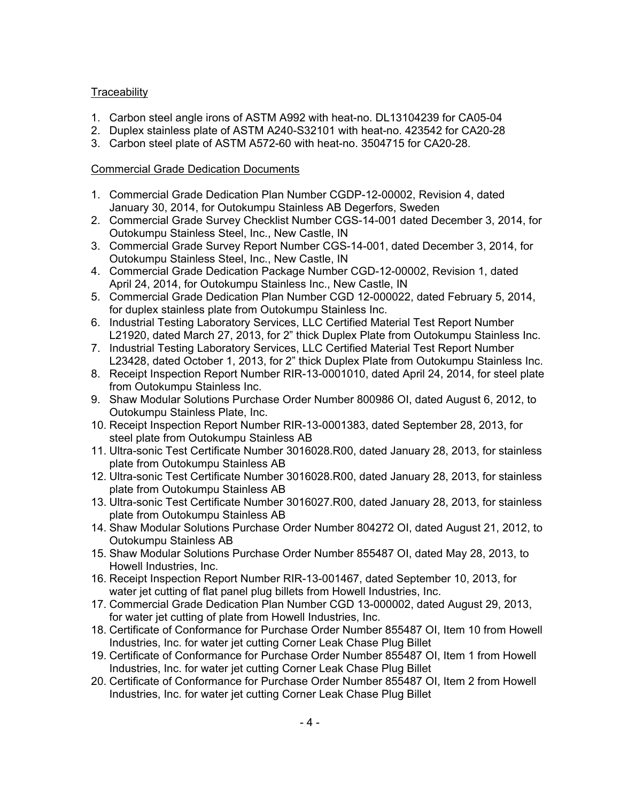# **Traceability**

- 1. Carbon steel angle irons of ASTM A992 with heat-no. DL13104239 for CA05-04
- 2. Duplex stainless plate of ASTM A240-S32101 with heat-no. 423542 for CA20-28
- 3. Carbon steel plate of ASTM A572-60 with heat-no. 3504715 for CA20-28.

## Commercial Grade Dedication Documents

- 1. Commercial Grade Dedication Plan Number CGDP-12-00002, Revision 4, dated January 30, 2014, for Outokumpu Stainless AB Degerfors, Sweden
- 2. Commercial Grade Survey Checklist Number CGS-14-001 dated December 3, 2014, for Outokumpu Stainless Steel, Inc., New Castle, IN
- 3. Commercial Grade Survey Report Number CGS-14-001, dated December 3, 2014, for Outokumpu Stainless Steel, Inc., New Castle, IN
- 4. Commercial Grade Dedication Package Number CGD-12-00002, Revision 1, dated April 24, 2014, for Outokumpu Stainless Inc., New Castle, IN
- 5. Commercial Grade Dedication Plan Number CGD 12-000022, dated February 5, 2014, for duplex stainless plate from Outokumpu Stainless Inc.
- 6. Industrial Testing Laboratory Services, LLC Certified Material Test Report Number L21920, dated March 27, 2013, for 2" thick Duplex Plate from Outokumpu Stainless Inc.
- 7. Industrial Testing Laboratory Services, LLC Certified Material Test Report Number L23428, dated October 1, 2013, for 2" thick Duplex Plate from Outokumpu Stainless Inc.
- 8. Receipt Inspection Report Number RIR-13-0001010, dated April 24, 2014, for steel plate from Outokumpu Stainless Inc.
- 9. Shaw Modular Solutions Purchase Order Number 800986 OI, dated August 6, 2012, to Outokumpu Stainless Plate, Inc.
- 10. Receipt Inspection Report Number RIR-13-0001383, dated September 28, 2013, for steel plate from Outokumpu Stainless AB
- 11. Ultra-sonic Test Certificate Number 3016028.R00, dated January 28, 2013, for stainless plate from Outokumpu Stainless AB
- 12. Ultra-sonic Test Certificate Number 3016028.R00, dated January 28, 2013, for stainless plate from Outokumpu Stainless AB
- 13. Ultra-sonic Test Certificate Number 3016027.R00, dated January 28, 2013, for stainless plate from Outokumpu Stainless AB
- 14. Shaw Modular Solutions Purchase Order Number 804272 OI, dated August 21, 2012, to Outokumpu Stainless AB
- 15. Shaw Modular Solutions Purchase Order Number 855487 OI, dated May 28, 2013, to Howell Industries, Inc.
- 16. Receipt Inspection Report Number RIR-13-001467, dated September 10, 2013, for water jet cutting of flat panel plug billets from Howell Industries, Inc.
- 17. Commercial Grade Dedication Plan Number CGD 13-000002, dated August 29, 2013, for water jet cutting of plate from Howell Industries, Inc.
- 18. Certificate of Conformance for Purchase Order Number 855487 OI, Item 10 from Howell Industries, Inc. for water jet cutting Corner Leak Chase Plug Billet
- 19. Certificate of Conformance for Purchase Order Number 855487 OI, Item 1 from Howell Industries, Inc. for water jet cutting Corner Leak Chase Plug Billet
- 20. Certificate of Conformance for Purchase Order Number 855487 OI, Item 2 from Howell Industries, Inc. for water jet cutting Corner Leak Chase Plug Billet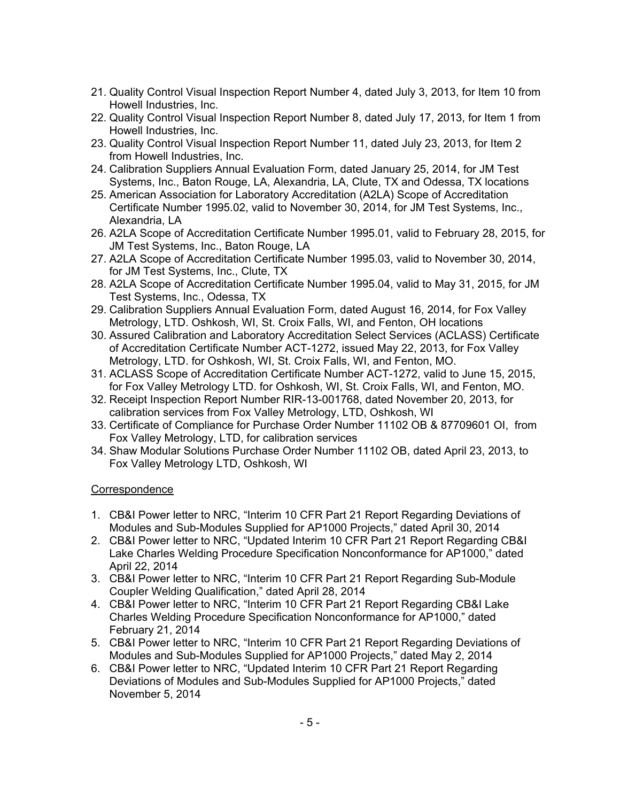- 21. Quality Control Visual Inspection Report Number 4, dated July 3, 2013, for Item 10 from Howell Industries, Inc.
- 22. Quality Control Visual Inspection Report Number 8, dated July 17, 2013, for Item 1 from Howell Industries, Inc.
- 23. Quality Control Visual Inspection Report Number 11, dated July 23, 2013, for Item 2 from Howell Industries, Inc.
- 24. Calibration Suppliers Annual Evaluation Form, dated January 25, 2014, for JM Test Systems, Inc., Baton Rouge, LA, Alexandria, LA, Clute, TX and Odessa, TX locations
- 25. American Association for Laboratory Accreditation (A2LA) Scope of Accreditation Certificate Number 1995.02, valid to November 30, 2014, for JM Test Systems, Inc., Alexandria, LA
- 26. A2LA Scope of Accreditation Certificate Number 1995.01, valid to February 28, 2015, for JM Test Systems, Inc., Baton Rouge, LA
- 27. A2LA Scope of Accreditation Certificate Number 1995.03, valid to November 30, 2014, for JM Test Systems, Inc., Clute, TX
- 28. A2LA Scope of Accreditation Certificate Number 1995.04, valid to May 31, 2015, for JM Test Systems, Inc., Odessa, TX
- 29. Calibration Suppliers Annual Evaluation Form, dated August 16, 2014, for Fox Valley Metrology, LTD. Oshkosh, WI, St. Croix Falls, WI, and Fenton, OH locations
- 30. Assured Calibration and Laboratory Accreditation Select Services (ACLASS) Certificate of Accreditation Certificate Number ACT-1272, issued May 22, 2013, for Fox Valley Metrology, LTD. for Oshkosh, WI, St. Croix Falls, WI, and Fenton, MO.
- 31. ACLASS Scope of Accreditation Certificate Number ACT-1272, valid to June 15, 2015, for Fox Valley Metrology LTD. for Oshkosh, WI, St. Croix Falls, WI, and Fenton, MO.
- 32. Receipt Inspection Report Number RIR-13-001768, dated November 20, 2013, for calibration services from Fox Valley Metrology, LTD, Oshkosh, WI
- 33. Certificate of Compliance for Purchase Order Number 11102 OB & 87709601 OI, from Fox Valley Metrology, LTD, for calibration services
- 34. Shaw Modular Solutions Purchase Order Number 11102 OB, dated April 23, 2013, to Fox Valley Metrology LTD, Oshkosh, WI

## **Correspondence**

- 1. CB&I Power letter to NRC, "Interim 10 CFR Part 21 Report Regarding Deviations of Modules and Sub-Modules Supplied for AP1000 Projects," dated April 30, 2014
- 2. CB&I Power letter to NRC, "Updated Interim 10 CFR Part 21 Report Regarding CB&I Lake Charles Welding Procedure Specification Nonconformance for AP1000," dated April 22, 2014
- 3. CB&I Power letter to NRC, "Interim 10 CFR Part 21 Report Regarding Sub-Module Coupler Welding Qualification," dated April 28, 2014
- 4. CB&I Power letter to NRC, "Interim 10 CFR Part 21 Report Regarding CB&I Lake Charles Welding Procedure Specification Nonconformance for AP1000," dated February 21, 2014
- 5. CB&I Power letter to NRC, "Interim 10 CFR Part 21 Report Regarding Deviations of Modules and Sub-Modules Supplied for AP1000 Projects," dated May 2, 2014
- 6. CB&I Power letter to NRC, "Updated Interim 10 CFR Part 21 Report Regarding Deviations of Modules and Sub-Modules Supplied for AP1000 Projects," dated November 5, 2014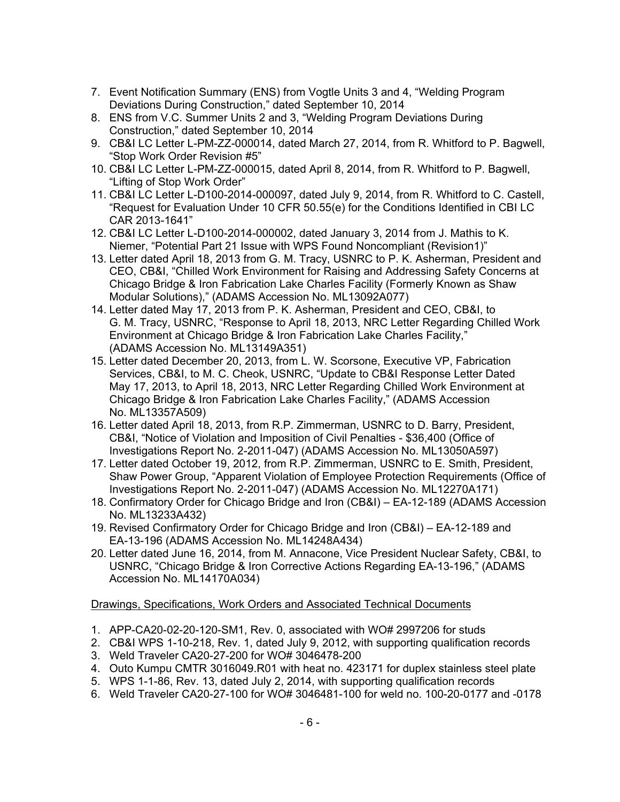- 7. Event Notification Summary (ENS) from Vogtle Units 3 and 4, "Welding Program Deviations During Construction," dated September 10, 2014
- 8. ENS from V.C. Summer Units 2 and 3, "Welding Program Deviations During Construction," dated September 10, 2014
- 9. CB&I LC Letter L-PM-ZZ-000014, dated March 27, 2014, from R. Whitford to P. Bagwell, "Stop Work Order Revision #5"
- 10. CB&I LC Letter L-PM-ZZ-000015, dated April 8, 2014, from R. Whitford to P. Bagwell, "Lifting of Stop Work Order"
- 11. CB&I LC Letter L-D100-2014-000097, dated July 9, 2014, from R. Whitford to C. Castell, "Request for Evaluation Under 10 CFR 50.55(e) for the Conditions Identified in CBI LC CAR 2013-1641"
- 12. CB&I LC Letter L-D100-2014-000002, dated January 3, 2014 from J. Mathis to K. Niemer, "Potential Part 21 Issue with WPS Found Noncompliant (Revision1)"
- 13. Letter dated April 18, 2013 from G. M. Tracy, USNRC to P. K. Asherman, President and CEO, CB&I, "Chilled Work Environment for Raising and Addressing Safety Concerns at Chicago Bridge & Iron Fabrication Lake Charles Facility (Formerly Known as Shaw Modular Solutions)," (ADAMS Accession No. ML13092A077)
- 14. Letter dated May 17, 2013 from P. K. Asherman, President and CEO, CB&I, to G. M. Tracy, USNRC, "Response to April 18, 2013, NRC Letter Regarding Chilled Work Environment at Chicago Bridge & Iron Fabrication Lake Charles Facility," (ADAMS Accession No. ML13149A351)
- 15. Letter dated December 20, 2013, from L. W. Scorsone, Executive VP, Fabrication Services, CB&I, to M. C. Cheok, USNRC, "Update to CB&I Response Letter Dated May 17, 2013, to April 18, 2013, NRC Letter Regarding Chilled Work Environment at Chicago Bridge & Iron Fabrication Lake Charles Facility," (ADAMS Accession No. ML13357A509)
- 16. Letter dated April 18, 2013, from R.P. Zimmerman, USNRC to D. Barry, President, CB&I, "Notice of Violation and Imposition of Civil Penalties - \$36,400 (Office of Investigations Report No. 2-2011-047) (ADAMS Accession No. ML13050A597)
- 17. Letter dated October 19, 2012, from R.P. Zimmerman, USNRC to E. Smith, President, Shaw Power Group, "Apparent Violation of Employee Protection Requirements (Office of Investigations Report No. 2-2011-047) (ADAMS Accession No. ML12270A171)
- 18. Confirmatory Order for Chicago Bridge and Iron (CB&I) EA-12-189 (ADAMS Accession No. ML13233A432)
- 19. Revised Confirmatory Order for Chicago Bridge and Iron (CB&I) EA-12-189 and EA-13-196 (ADAMS Accession No. ML14248A434)
- 20. Letter dated June 16, 2014, from M. Annacone, Vice President Nuclear Safety, CB&I, to USNRC, "Chicago Bridge & Iron Corrective Actions Regarding EA-13-196," (ADAMS Accession No. ML14170A034)

# Drawings, Specifications, Work Orders and Associated Technical Documents

- 1. APP-CA20-02-20-120-SM1, Rev. 0, associated with WO# 2997206 for studs
- 2. CB&I WPS 1-10-218, Rev. 1, dated July 9, 2012, with supporting qualification records
- 3. Weld Traveler CA20-27-200 for WO# 3046478-200
- 4. Outo Kumpu CMTR 3016049.R01 with heat no. 423171 for duplex stainless steel plate
- 5. WPS 1-1-86, Rev. 13, dated July 2, 2014, with supporting qualification records
- 6. Weld Traveler CA20-27-100 for WO# 3046481-100 for weld no. 100-20-0177 and -0178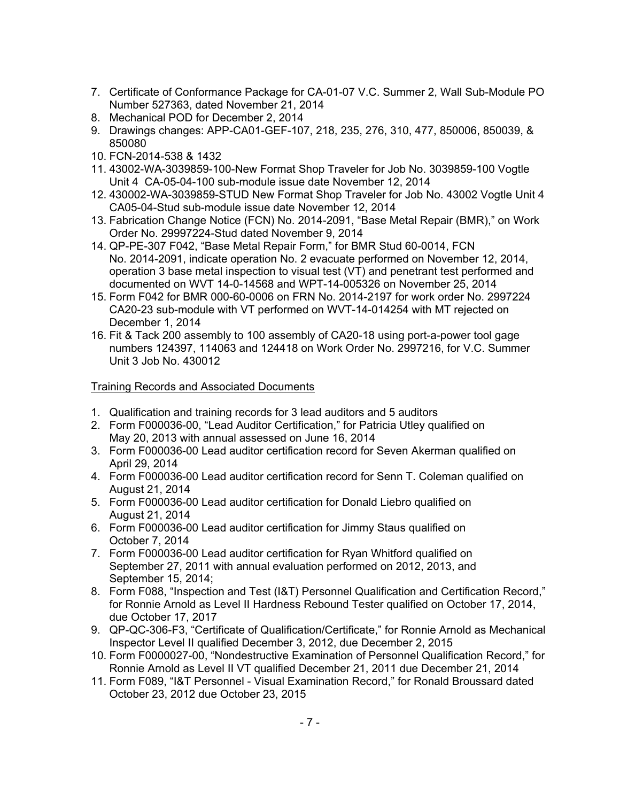- 7. Certificate of Conformance Package for CA-01-07 V.C. Summer 2, Wall Sub-Module PO Number 527363, dated November 21, 2014
- 8. Mechanical POD for December 2, 2014
- 9. Drawings changes: APP-CA01-GEF-107, 218, 235, 276, 310, 477, 850006, 850039, & 850080
- 10. FCN-2014-538 & 1432
- 11. 43002-WA-3039859-100-New Format Shop Traveler for Job No. 3039859-100 Vogtle Unit 4 CA-05-04-100 sub-module issue date November 12, 2014
- 12. 430002-WA-3039859-STUD New Format Shop Traveler for Job No. 43002 Vogtle Unit 4 CA05-04-Stud sub-module issue date November 12, 2014
- 13. Fabrication Change Notice (FCN) No. 2014-2091, "Base Metal Repair (BMR)," on Work Order No. 29997224-Stud dated November 9, 2014
- 14. QP-PE-307 F042, "Base Metal Repair Form," for BMR Stud 60-0014, FCN No. 2014-2091, indicate operation No. 2 evacuate performed on November 12, 2014, operation 3 base metal inspection to visual test (VT) and penetrant test performed and documented on WVT 14-0-14568 and WPT-14-005326 on November 25, 2014
- 15. Form F042 for BMR 000-60-0006 on FRN No. 2014-2197 for work order No. 2997224 CA20-23 sub-module with VT performed on WVT-14-014254 with MT rejected on December 1, 2014
- 16. Fit & Tack 200 assembly to 100 assembly of CA20-18 using port-a-power tool gage numbers 124397, 114063 and 124418 on Work Order No. 2997216, for V.C. Summer Unit 3 Job No. 430012

## Training Records and Associated Documents

- 1. Qualification and training records for 3 lead auditors and 5 auditors
- 2. Form F000036-00, "Lead Auditor Certification," for Patricia Utley qualified on May 20, 2013 with annual assessed on June 16, 2014
- 3. Form F000036-00 Lead auditor certification record for Seven Akerman qualified on April 29, 2014
- 4. Form F000036-00 Lead auditor certification record for Senn T. Coleman qualified on August 21, 2014
- 5. Form F000036-00 Lead auditor certification for Donald Liebro qualified on August 21, 2014
- 6. Form F000036-00 Lead auditor certification for Jimmy Staus qualified on October 7, 2014
- 7. Form F000036-00 Lead auditor certification for Ryan Whitford qualified on September 27, 2011 with annual evaluation performed on 2012, 2013, and September 15, 2014;
- 8. Form F088, "Inspection and Test (I&T) Personnel Qualification and Certification Record," for Ronnie Arnold as Level II Hardness Rebound Tester qualified on October 17, 2014, due October 17, 2017
- 9. QP-QC-306-F3, "Certificate of Qualification/Certificate," for Ronnie Arnold as Mechanical Inspector Level II qualified December 3, 2012, due December 2, 2015
- 10. Form F0000027-00, "Nondestructive Examination of Personnel Qualification Record," for Ronnie Arnold as Level II VT qualified December 21, 2011 due December 21, 2014
- 11. Form F089, "I&T Personnel Visual Examination Record," for Ronald Broussard dated October 23, 2012 due October 23, 2015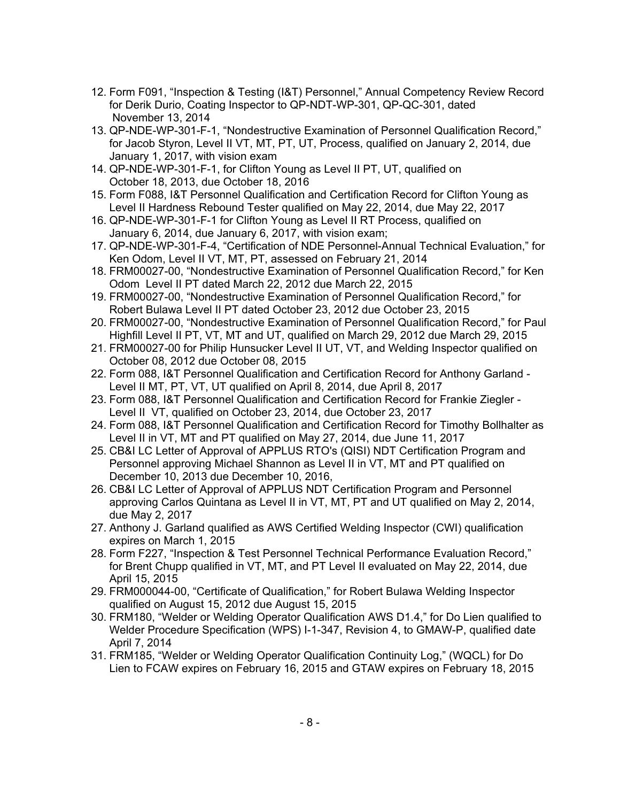- 12. Form F091, "Inspection & Testing (I&T) Personnel," Annual Competency Review Record for Derik Durio, Coating Inspector to QP-NDT-WP-301, QP-QC-301, dated November 13, 2014
- 13. QP-NDE-WP-301-F-1, "Nondestructive Examination of Personnel Qualification Record," for Jacob Styron, Level II VT, MT, PT, UT, Process, qualified on January 2, 2014, due January 1, 2017, with vision exam
- 14. QP-NDE-WP-301-F-1, for Clifton Young as Level II PT, UT, qualified on October 18, 2013, due October 18, 2016
- 15. Form F088, I&T Personnel Qualification and Certification Record for Clifton Young as Level II Hardness Rebound Tester qualified on May 22, 2014, due May 22, 2017
- 16. QP-NDE-WP-301-F-1 for Clifton Young as Level II RT Process, qualified on January 6, 2014, due January 6, 2017, with vision exam;
- 17. QP-NDE-WP-301-F-4, "Certification of NDE Personnel-Annual Technical Evaluation," for Ken Odom, Level II VT, MT, PT, assessed on February 21, 2014
- 18. FRM00027-00, "Nondestructive Examination of Personnel Qualification Record," for Ken Odom Level II PT dated March 22, 2012 due March 22, 2015
- 19. FRM00027-00, "Nondestructive Examination of Personnel Qualification Record," for Robert Bulawa Level II PT dated October 23, 2012 due October 23, 2015
- 20. FRM00027-00, "Nondestructive Examination of Personnel Qualification Record," for Paul Highfill Level II PT, VT, MT and UT, qualified on March 29, 2012 due March 29, 2015
- 21. FRM00027-00 for Philip Hunsucker Level II UT, VT, and Welding Inspector qualified on October 08, 2012 due October 08, 2015
- 22. Form 088, I&T Personnel Qualification and Certification Record for Anthony Garland Level II MT, PT, VT, UT qualified on April 8, 2014, due April 8, 2017
- 23. Form 088, I&T Personnel Qualification and Certification Record for Frankie Ziegler Level II VT, qualified on October 23, 2014, due October 23, 2017
- 24. Form 088, I&T Personnel Qualification and Certification Record for Timothy Bollhalter as Level II in VT, MT and PT qualified on May 27, 2014, due June 11, 2017
- 25. CB&I LC Letter of Approval of APPLUS RTO's (QISI) NDT Certification Program and Personnel approving Michael Shannon as Level II in VT, MT and PT qualified on December 10, 2013 due December 10, 2016,
- 26. CB&I LC Letter of Approval of APPLUS NDT Certification Program and Personnel approving Carlos Quintana as Level II in VT, MT, PT and UT qualified on May 2, 2014, due May 2, 2017
- 27. Anthony J. Garland qualified as AWS Certified Welding Inspector (CWI) qualification expires on March 1, 2015
- 28. Form F227, "Inspection & Test Personnel Technical Performance Evaluation Record," for Brent Chupp qualified in VT, MT, and PT Level II evaluated on May 22, 2014, due April 15, 2015
- 29. FRM000044-00, "Certificate of Qualification," for Robert Bulawa Welding Inspector qualified on August 15, 2012 due August 15, 2015
- 30. FRM180, "Welder or Welding Operator Qualification AWS D1.4," for Do Lien qualified to Welder Procedure Specification (WPS) I-1-347, Revision 4, to GMAW-P, qualified date April 7, 2014
- 31. FRM185, "Welder or Welding Operator Qualification Continuity Log," (WQCL) for Do Lien to FCAW expires on February 16, 2015 and GTAW expires on February 18, 2015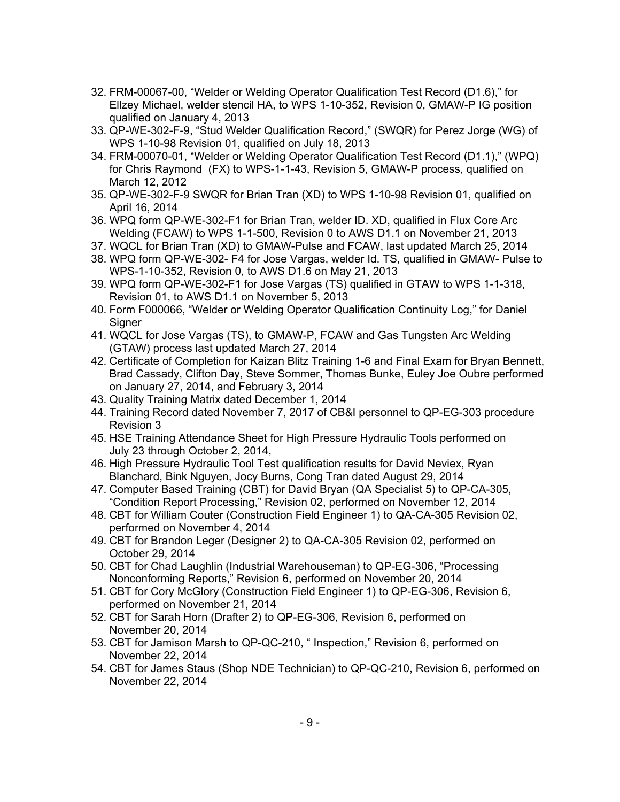- 32. FRM-00067-00, "Welder or Welding Operator Qualification Test Record (D1.6)," for Ellzey Michael, welder stencil HA, to WPS 1-10-352, Revision 0, GMAW-P IG position qualified on January 4, 2013
- 33. QP-WE-302-F-9, "Stud Welder Qualification Record," (SWQR) for Perez Jorge (WG) of WPS 1-10-98 Revision 01, qualified on July 18, 2013
- 34. FRM-00070-01, "Welder or Welding Operator Qualification Test Record (D1.1)," (WPQ) for Chris Raymond (FX) to WPS-1-1-43, Revision 5, GMAW-P process, qualified on March 12, 2012
- 35. QP-WE-302-F-9 SWQR for Brian Tran (XD) to WPS 1-10-98 Revision 01, qualified on April 16, 2014
- 36. WPQ form QP-WE-302-F1 for Brian Tran, welder ID. XD, qualified in Flux Core Arc Welding (FCAW) to WPS 1-1-500, Revision 0 to AWS D1.1 on November 21, 2013
- 37. WQCL for Brian Tran (XD) to GMAW-Pulse and FCAW, last updated March 25, 2014
- 38. WPQ form QP-WE-302- F4 for Jose Vargas, welder Id. TS, qualified in GMAW- Pulse to WPS-1-10-352, Revision 0, to AWS D1.6 on May 21, 2013
- 39. WPQ form QP-WE-302-F1 for Jose Vargas (TS) qualified in GTAW to WPS 1-1-318, Revision 01, to AWS D1.1 on November 5, 2013
- 40. Form F000066, "Welder or Welding Operator Qualification Continuity Log," for Daniel Signer
- 41. WQCL for Jose Vargas (TS), to GMAW-P, FCAW and Gas Tungsten Arc Welding (GTAW) process last updated March 27, 2014
- 42. Certificate of Completion for Kaizan Blitz Training 1-6 and Final Exam for Bryan Bennett, Brad Cassady, Clifton Day, Steve Sommer, Thomas Bunke, Euley Joe Oubre performed on January 27, 2014, and February 3, 2014
- 43. Quality Training Matrix dated December 1, 2014
- 44. Training Record dated November 7, 2017 of CB&I personnel to QP-EG-303 procedure Revision 3
- 45. HSE Training Attendance Sheet for High Pressure Hydraulic Tools performed on July 23 through October 2, 2014,
- 46. High Pressure Hydraulic Tool Test qualification results for David Neviex, Ryan Blanchard, Bink Nguyen, Jocy Burns, Cong Tran dated August 29, 2014
- 47. Computer Based Training (CBT) for David Bryan (QA Specialist 5) to QP-CA-305, "Condition Report Processing," Revision 02, performed on November 12, 2014
- 48. CBT for William Couter (Construction Field Engineer 1) to QA-CA-305 Revision 02, performed on November 4, 2014
- 49. CBT for Brandon Leger (Designer 2) to QA-CA-305 Revision 02, performed on October 29, 2014
- 50. CBT for Chad Laughlin (Industrial Warehouseman) to QP-EG-306, "Processing Nonconforming Reports," Revision 6, performed on November 20, 2014
- 51. CBT for Cory McGlory (Construction Field Engineer 1) to QP-EG-306, Revision 6, performed on November 21, 2014
- 52. CBT for Sarah Horn (Drafter 2) to QP-EG-306, Revision 6, performed on November 20, 2014
- 53. CBT for Jamison Marsh to QP-QC-210, " Inspection," Revision 6, performed on November 22, 2014
- 54. CBT for James Staus (Shop NDE Technician) to QP-QC-210, Revision 6, performed on November 22, 2014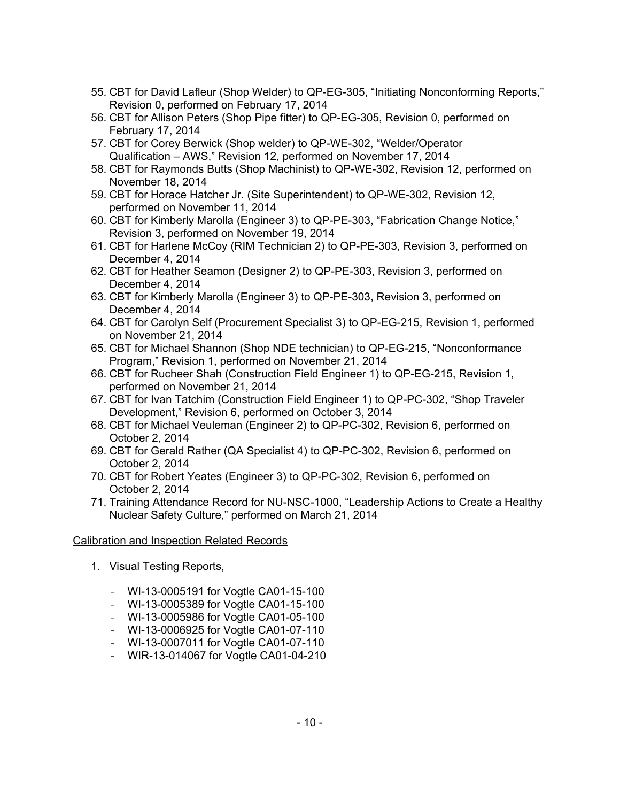- 55. CBT for David Lafleur (Shop Welder) to QP-EG-305, "Initiating Nonconforming Reports," Revision 0, performed on February 17, 2014
- 56. CBT for Allison Peters (Shop Pipe fitter) to QP-EG-305, Revision 0, performed on February 17, 2014
- 57. CBT for Corey Berwick (Shop welder) to QP-WE-302, "Welder/Operator Qualification – AWS," Revision 12, performed on November 17, 2014
- 58. CBT for Raymonds Butts (Shop Machinist) to QP-WE-302, Revision 12, performed on November 18, 2014
- 59. CBT for Horace Hatcher Jr. (Site Superintendent) to QP-WE-302, Revision 12, performed on November 11, 2014
- 60. CBT for Kimberly Marolla (Engineer 3) to QP-PE-303, "Fabrication Change Notice," Revision 3, performed on November 19, 2014
- 61. CBT for Harlene McCoy (RIM Technician 2) to QP-PE-303, Revision 3, performed on December 4, 2014
- 62. CBT for Heather Seamon (Designer 2) to QP-PE-303, Revision 3, performed on December 4, 2014
- 63. CBT for Kimberly Marolla (Engineer 3) to QP-PE-303, Revision 3, performed on December 4, 2014
- 64. CBT for Carolyn Self (Procurement Specialist 3) to QP-EG-215, Revision 1, performed on November 21, 2014
- 65. CBT for Michael Shannon (Shop NDE technician) to QP-EG-215, "Nonconformance Program," Revision 1, performed on November 21, 2014
- 66. CBT for Rucheer Shah (Construction Field Engineer 1) to QP-EG-215, Revision 1, performed on November 21, 2014
- 67. CBT for Ivan Tatchim (Construction Field Engineer 1) to QP-PC-302, "Shop Traveler Development," Revision 6, performed on October 3, 2014
- 68. CBT for Michael Veuleman (Engineer 2) to QP-PC-302, Revision 6, performed on October 2, 2014
- 69. CBT for Gerald Rather (QA Specialist 4) to QP-PC-302, Revision 6, performed on October 2, 2014
- 70. CBT for Robert Yeates (Engineer 3) to QP-PC-302, Revision 6, performed on October 2, 2014
- 71. Training Attendance Record for NU-NSC-1000, "Leadership Actions to Create a Healthy Nuclear Safety Culture," performed on March 21, 2014

## Calibration and Inspection Related Records

- 1. Visual Testing Reports,
	- WI-13-0005191 for Vogtle CA01-15-100
	- WI-13-0005389 for Vogtle CA01-15-100
	- WI-13-0005986 for Vogtle CA01-05-100
	- WI-13-0006925 for Vogtle CA01-07-110
	- WI-13-0007011 for Vogtle CA01-07-110
	- WIR-13-014067 for Vogtle CA01-04-210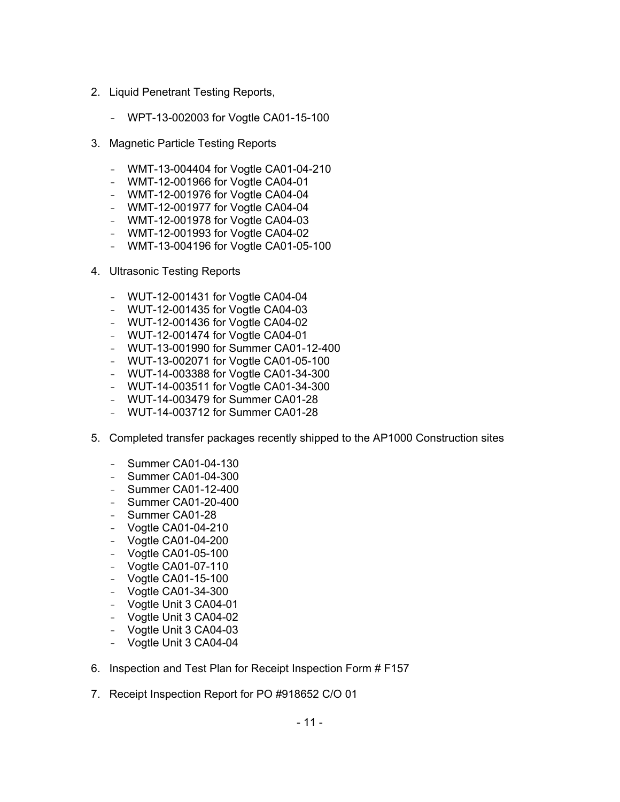- 2. Liquid Penetrant Testing Reports,
	- WPT-13-002003 for Vogtle CA01-15-100
- 3. Magnetic Particle Testing Reports
	- WMT-13-004404 for Vogtle CA01-04-210
	- WMT-12-001966 for Vogtle CA04-01
	- WMT-12-001976 for Vogtle CA04-04
	- WMT-12-001977 for Vogtle CA04-04
	- WMT-12-001978 for Vogtle CA04-03
	- WMT-12-001993 for Vogtle CA04-02
	- WMT-13-004196 for Vogtle CA01-05-100
- 4. Ultrasonic Testing Reports
	- WUT-12-001431 for Vogtle CA04-04
	- WUT-12-001435 for Vogtle CA04-03
	- WUT-12-001436 for Vogtle CA04-02
	- WUT-12-001474 for Vogtle CA04-01
	- WUT-13-001990 for Summer CA01-12-400
	- WUT-13-002071 for Vogtle CA01-05-100
	- WUT-14-003388 for Vogtle CA01-34-300
	- WUT-14-003511 for Vogtle CA01-34-300
	- WUT-14-003479 for Summer CA01-28
	- WUT-14-003712 for Summer CA01-28
- 5. Completed transfer packages recently shipped to the AP1000 Construction sites
	- Summer CA01-04-130
	- Summer CA01-04-300
	- Summer CA01-12-400
	- Summer CA01-20-400
	- Summer CA01-28
	- Vogtle CA01-04-210
	- Vogtle CA01-04-200
	- Vogtle CA01-05-100
	- Vogtle CA01-07-110
	- Vogtle CA01-15-100
	- Vogtle CA01-34-300
	- Vogtle Unit 3 CA04-01
	- Vogtle Unit 3 CA04-02
	- Vogtle Unit 3 CA04-03
	- Vogtle Unit 3 CA04-04
- 6. Inspection and Test Plan for Receipt Inspection Form # F157
- 7. Receipt Inspection Report for PO #918652 C/O 01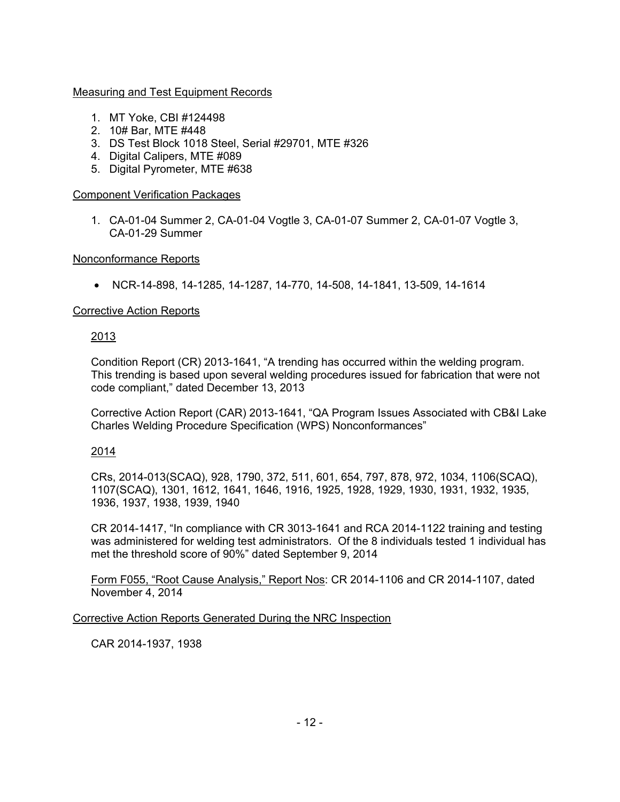# Measuring and Test Equipment Records

- 1. MT Yoke, CBI #124498
- 2. 10# Bar, MTE #448
- 3. DS Test Block 1018 Steel, Serial #29701, MTE #326
- 4. Digital Calipers, MTE #089
- 5. Digital Pyrometer, MTE #638

## Component Verification Packages

1. CA-01-04 Summer 2, CA-01-04 Vogtle 3, CA-01-07 Summer 2, CA-01-07 Vogtle 3, CA-01-29 Summer

## Nonconformance Reports

• NCR-14-898, 14-1285, 14-1287, 14-770, 14-508, 14-1841, 13-509, 14-1614

# Corrective Action Reports

# 2013

Condition Report (CR) 2013-1641, "A trending has occurred within the welding program. This trending is based upon several welding procedures issued for fabrication that were not code compliant," dated December 13, 2013

Corrective Action Report (CAR) 2013-1641, "QA Program Issues Associated with CB&I Lake Charles Welding Procedure Specification (WPS) Nonconformances"

## 2014

CRs, 2014-013(SCAQ), 928, 1790, 372, 511, 601, 654, 797, 878, 972, 1034, 1106(SCAQ), 1107(SCAQ), 1301, 1612, 1641, 1646, 1916, 1925, 1928, 1929, 1930, 1931, 1932, 1935, 1936, 1937, 1938, 1939, 1940

CR 2014-1417, "In compliance with CR 3013-1641 and RCA 2014-1122 training and testing was administered for welding test administrators. Of the 8 individuals tested 1 individual has met the threshold score of 90%" dated September 9, 2014

Form F055, "Root Cause Analysis," Report Nos: CR 2014-1106 and CR 2014-1107, dated November 4, 2014

Corrective Action Reports Generated During the NRC Inspection

CAR 2014-1937, 1938